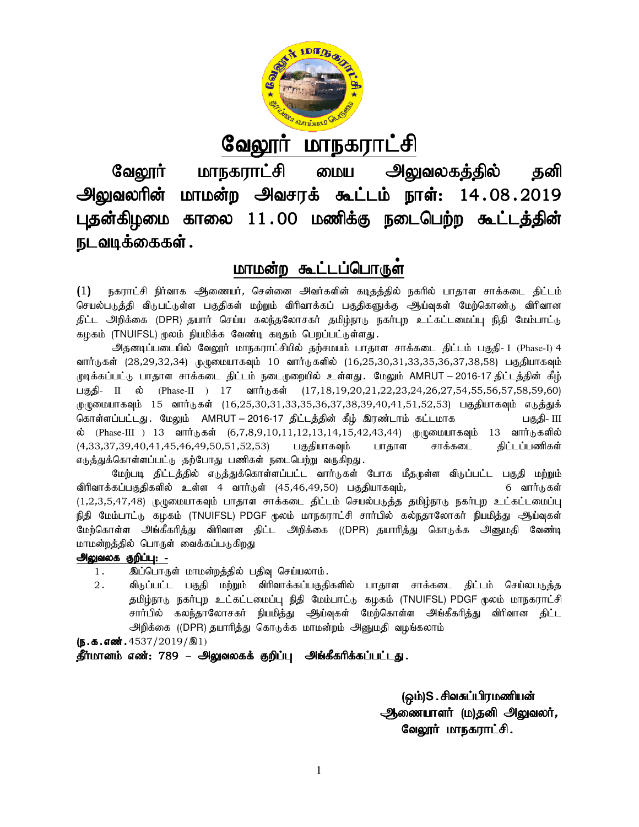

<u>வேலூர் மாநகராட்சி</u>

வேலூர் மாநகராட்சி மைய அலுவலகத்தில் தனி வேலூர் மாநகராட்சி மைய அலுவலகத்தில் தனி<br>அலுவலரின் மாமன்ற அவசரக் கூட்டம் நாள்: 14.08.2019 புதன்கிழமை காலை 11.00 மணிக்கு நடைபெற்ற கூட்டத்தின் நடவடிக்கைகள் .

# <u>மாமன்ற கூட்டப்பொருள</u>்

(1) நகராட்சி நிர்வாக ஆணையர், சென்னை அவர்களின் கடிதத்தில் நகரில் பாதாள சாக்கடை திட்டம் செயல்படுத்தி விடுபட்டுள்ள பகுதிகள் மற்றும் விரிவாக்கப் பகுதிகளுக்கு ஆய்வுகள் மேற்கொண்டு விரிவான (1) நகராட்சி நிாவாக ஆணையா, சென்னை அவாகளின் கடிதத்தில் நகரில் பாதாள சாக்கடை திட்டம்<br>செயல்படுத்தி விடுபட்டுள்ள பகுதிகள் மற்றும் விரிவாக்கப் பகுதிகளுக்கு ஆய்வுகள் மேற்கொண்டு விரிவான<br>திட்ட அறிக்கை (DPR) தயார் செய்ய கலந்தலோசகர கழகம் (TNUIFSL) மூலம் நியமிக்க வேண்டி கடிதம் பெறப்பட்டுள்ளது.

அதனடிப்படையில் வேலூர் மாநகராட்சியில் தற்சமயம் பாதாள சாக்கடை திட்டம் பகுதி- I (Phase-I) 4 வார்டுகள் (28,29,32,34) முழுமையாகவும் 10 வார்டுகளில் (16,25,30,31,33,35,36,37,38,58) பகுதியாகவும் வார்டுகள் (28,29,32,34) முழுமையாகவும் 10 வார்டுகளில் (16,25,30,31,33,35,36,37,38,58) பகுதியாகவும்<br>முடிக்கப்பட்டு பாதாள சாக்கடை திட்டம் நடைமுறையில் உள்ளது. மேலும் AMRUT – 2016-17 திட்டத்தின் கீழ் பகுதி- II ல் (Phase-II ) 17 வார்டுகள் (17,18,19,20,21,22,23,24,26,27,54,55,56,57,58,59,60) முழுமையாகவும் 15 வார்டுகள் (16,25,30,31,33,35,36,37,38,39,40,41,51,52,53) பகுதியாகவும் எடுத்துக் bfhs;sg;gl;lJ. BkYk; AMRUT – 2016 2016-17 jpl;lj;jpd; fPH; nuz;lhk; fl;lkhf gFjp 15 (16,25,30,31,33,35,36,37,38,39,40,41,51,52,53) gFjp- III ல் (Phase-III ) 13 வார்டுகள் (6,7,8,9,10,11,12,13,14,15,42,43,44) முமுமையாகவும் 13 வார்டுகளில் (4,33,37,39,40,41,45,46,49,50,51,52,53) பகுதியாகவும் பாதாள சாக்கடை எ<u>டுத்து</u>க்கொள்ளப்பட்டு தற்போது பணிகள் நடைபெற்று வருகிறது. திட்டப்பணிகள்

மேற்படி திட்டத்தில் எடுத்துக்கொள்ளப்பட்ட வார்டுகள் போக மீதமுள்ள விடுப்பட்ட பகுதி மற்றும் விரிவாக்கப்பகுதிகளில் உள்ள 4 வார்டுள் (45,46,49,50) பகுதியாகவும், 6 வார்டுகள்  $(1,2,3,5,47,48)$  முழுமையாகவும் பாதாள சாக்கடை திட்டம் செயல்படுத்த தமிழ்நாடு நகர்புற உட்கட்டமைப்பு நிதி மேம்பாட்டு கழகம் (TNUIFSL) PDGF மூலம் மாநகராட்சி சார்பில் கல்நதாலோகர் நியமித்து ஆய்வுகள் மேற்கொள்ள அங்கீகரித்து விரிவான திட்ட அறிக்கை ((DPR) தயாரித்து கொடுக்க அனுமதி வேண்டி மாமன்றத்தில் பொருள் வைக்கப்படுகிறது ,10,11,12,13,14,15,42,43,44) முழுமையாகவும் 13 வார்டுகளில்<br>3) பகுதியாகவும் பாதாள சாக்கடை திட்டப்பணிகள்<br>`நடைபெற்று வருகிறது.<br>ள்ளப்பட்ட வார்டுகள் போக மீதமுள்ள விடுப்பட்ட பகுதி மற்றும்<br>i (45,46,49,50) பகுதியாகவும்,<br>சாக்கடை தி 4 வாா்டுள் (45,46,49,50) பகுதியாகவும்,<br>பாதாள சாக்கடை திட்டம் செயல்படுத்த தமிழ்நாடு நகா்புற உட்கட்டமைப்பு<br>SL) PDGF மூலம் மாநகராட்சி சாா்்பில் கல்நதாலோகா் நியமித்து ஆய்வுகள்<br>|வான திட்ட அறிக்கை ((DPR) தயாரித்து கொடுக்க அனுமத

# அலுவலக குறிப்பு: -

1. இப்பொருள் மாமன்றத்தில் பதிவு செய்யலாம்.

2. விடுப்பட்ட பகுதி மற்றும் விரிவாக்கப்பகுதிகளில் பாதாள சாக்கடை திட்டம் செய்லபடுத்த விடுப்பட்ட பகுதி மற்றும் விரிவாக்கப்பகுதிகளில் பாதாள சாக்கடை திட்<br>தமிழ்நாடு நகர்புற உட்கட்டமைப்பு நிதி மேம்பாட்டு கழகம் (TNUIFSL) PDGF சார்பில் கலந்தாலோசகர் நியமித்து ஆய்வுகள் மேற்கொள்ள அங்க்கரித்து விரிவான திட்ட அறிக்கை ((DPR) தயாரித்து கொடுக்க மாமன்றம் அனுமதி வழங்கலாம்

 $(5.5.5.0001.4537/2019/81)$ 

தீர்மானம் எண்: 789 – அலுவலகக் குறிப்பு அங்கீகரிக்கப்பட்டது.

(ஒம்)S . சிவசுப்பிரமணியன் ஆணையாளர் (ம)தனி **அலுவலர்,** BtY]h; khefuhl;rp. khefuhl;rp.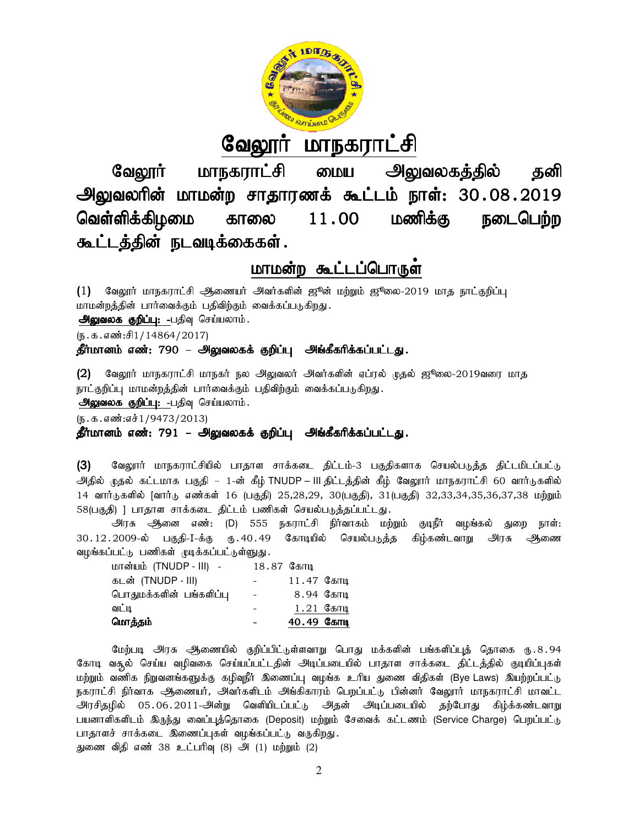

# <u>வேலூர் மாநகராட்சி</u>

வேலூர் மாநகராட்சி மைய அலுவலகத்தில் தனி அலுவலரின் மாமன்ற சாதாரணக் கூட்டம் நாள்: 30.08.2019 வெள்ளிக்கிழமை காலை கூட்டத்தின் நடவடிக்கைகள்.  $11.00$  மணிக்கு வேலூர் மாநகராட்சி மைய அலுவலகத்தில் தனி<br>வலரின் மாமன்ற சாதாரணக் கூட்டம் நாள்: 30.08.2019<br>·ளிக்கிழமை காலை 11.00 மணிக்கு நடைபெற்ற

# <u>மாமன்ற கூட்டப்பொருள்</u>

 $(1)$  வேலூர் மாநகராட்சி ஆணையர் அவர்களின் ஜூன் மற்றும் ஜூலை-2019 மாத நாட்குறிப்பு மாமன்றத்தின் பார்வைக்கும் பதிவிற்கும் வைக்கப்படுகிறது. அலுவலக குறிப்பு: -பதிவு செய்யலாம்.

 $(5.5.5.5\text{...})$ 

தீர்மானம் எண்: 790 – அலுவலகக் குறிப்பு அங்கீகரிக்கப்பட்டது.

(2) வேலூர் மாநகராட்சி மாநகர் நல அலுவலர் அவர்களின் ஏப்ரல் முதல் ஜூலை-2019வரை மாத நாட்குறிப்பு மாமன்றத்தின் பார்வைக்கும் பதிவிற்கும் வைக்கப்படுகிறது.

அலுவலக குறிப்பு: -பதிவு செய்யலாம்.

 $(5.5.5.5\cdot\frac{1}{9473}/2013)$ 

# தீர்மானம் எண்: 791 – அலுவலகக் குறிப்பு அங்கீகரிக்கப்பட்டது.

(3) வேலூர் மாநகராட்சியில் பாதாள சாக்கடை திட்டம்-3 பகுதிகளாக செயல்படுத்த திட்டமிடப்பட்டு அதில் முதல் கட்டமாக பகுதி – 1-ன் கீழ் TNUDP – III திட்டத்தின் கீழ் வேலூர் மாநகராட்சி 60 வார்டுகளில் 14 வார்டுகளில் [வார்டு எண்கள் 16 (பகுதி) 25,28,29, 30(பகுதி), 31(பகுதி) 32,33,34,35,36,37,38 மற்றும் 58(பகுதி) ] பாதாள சாக்கடை திட்டம் பணிகள் செயல்படுத்தப்பட்டது. வேலூாா மாநகராடசியில் பாதாள சாக்கடை திட்டம-3 பத்திகளாக செயல்படுத்த திட்டம்பட்டம்<br>முதல் கட்டமாக பத்தி – 1-ன் கீழ் TNUDP – III தீட்டத்தின் கீழ் வேலூாா் மாநகராட்சி 60 வாா்டுகளில்<br>'ருகளில் [வாா்டு எண்கள் 16 (பகுதி 25,28,29,

அரசு அனை எண்: (D) 555 நகராட்சி நிர்வாகம் மற்றும் குடிநீர் வழங்கல் துறை நாள்: 30.12.2009-y; gFjp-I-f;F U}.40.49 Bfhoapy; vz;fs; ehs;: f;F bray;gLj;j fpH;fz;lthW muR Miz வழங்கப்பட்டு பணிகள் முடிக்கப்பட்டுள்ளுது.

| மொத்தம்                 |                          | 40.49 Сели   |
|-------------------------|--------------------------|--------------|
| வட்டி                   |                          | $1.21$ கோடி  |
| பொதுமக்களின் பங்களிப்பு | $\overline{\phantom{a}}$ | 8.94 கோடி    |
| கடன் (TNUDP - III)      |                          | $11.47$ கோடி |
| மான்யம் (TNUDP - III) - | 18.87 கோடி               |              |

மேற்படி அரசு ஆணையில் குறிப்பிட்டுள்ளவாறு பொது மக்களின் பங்களிப்புத் தொகை ரு.8.94 கோடி வசூல் செய்ய வழிவகை செய்யப்பட்டதின் அடிப்படையில் பாதாள சாக்கடை திட்டத்தில் குடியிப்புகள் கோடி வசூல் செய்ய வழிவகை செய்யப்பட்டதின் அடிப்படையில் பாதாள சாக்கடை திட்டத்தி<br>மற்றும் வணிக நிறுவனங்களுக்கு கழிவுநீர் இணைப்பு வழங்க உரிய துணை விதிகள் (Bye Laws நகராட்சி நிர்வாக ஆணையர், அவர்களிடம் அங்கிகாரம் பெறப்பட்டு பின்னர் வேலூர் மாநகராட்சி மாவட்ட அரசிதழில் 05.06.2011-அன்று வெளியிடப்பட்டு அதன் அடிப்படையில் தற்போது கிழ்க்கண்டவாறு அரசிதழில் 05.06.2011-அன்று வெளியிடப்பட்டு அதன் அடிப்படையில் தற்போது கிழ்க்கண்டவாறு<br>பயனாளிகளிடம் இருந்து வைப்புத்தொகை (Deposit) மற்றும் சேவைக் கட்டணம் (Service Charge) பெறப்பட்டு பாதாளச் சாக்கடை இணைப்புகள் வழங்கப்பட்டு வருகிறது. துணை விதி எண் 38 உட்பரிவு (8) அி (1) மற்றும் (2)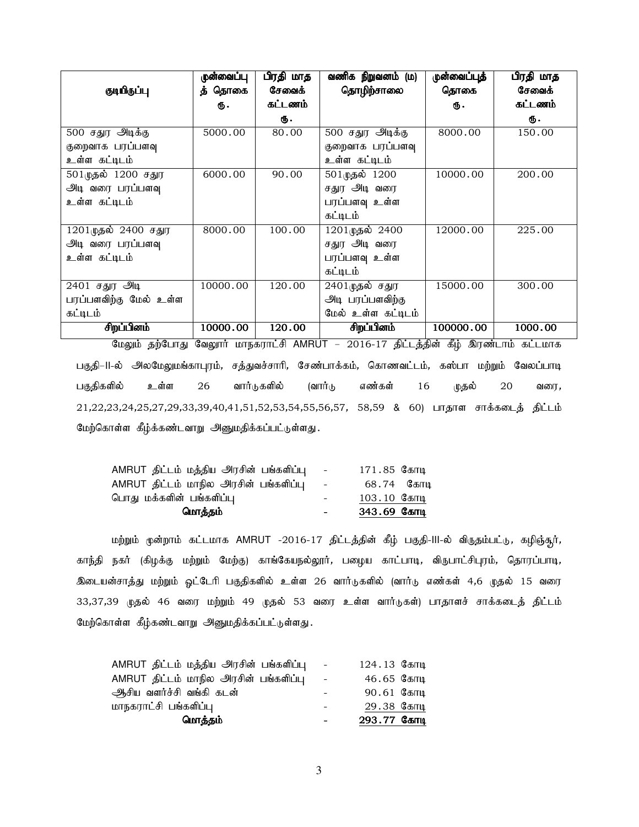|                        | ருன்வைப்பு | பிரதி மாத | வணிக நிறுவனம் (ம)  | ருன்வைப்புத் | பிரதி மாத |
|------------------------|------------|-----------|--------------------|--------------|-----------|
| குடியிருப்பு           | த் தொகை    | சேவைக்    | தொழிற்சாலை         | தொகை         | சேவைக்    |
|                        | Ф.         | கட்டணம்   |                    | Ф.           | கட்டணம்   |
|                        |            | ₲.        |                    |              | ரு.       |
| 500 சதுர அடிக்கு       | 5000.00    | 80.00     | 500 சதுர அடிக்கு   | 8000.00      | 150.00    |
| குறைவாக பரப்பளவு       |            |           | குறைவாக பரப்பளவு   |              |           |
| உள்ள கட்டிடம்          |            |           | உள்ள கட்டிடம்      |              |           |
| 501 முதல் 1200 சதுர    | 6000.00    | 90.00     | 501முதல் 1200      | 10000.00     | 200.00    |
| அடி வரை பரப்பளவு       |            |           | சதுர அடி வரை       |              |           |
| உள்ள கட்டிடம்          |            |           | பரப்பளவு உள்ள      |              |           |
|                        |            |           | கட்டிடம்           |              |           |
| 1201முதல் 2400 சதுர    | 8000.00    | 100.00    | 1201முதல் 2400     | 12000.00     | 225.00    |
| அடி வரை பரப்பளவு       |            |           | சதுர அடி வரை       |              |           |
| உள்ள கட்டிடம்          |            |           | பரப்பளவு உள்ள      |              |           |
|                        |            |           | கட்டிடம்           |              |           |
| 2401 சதுர அடி          | 10000.00   | 120.00    | $2401$ முதல் சதுர  | 15000.00     | 300.00    |
| பரப்பளவிற்கு மேல் உள்ள |            |           | அடி பரப்பளவிற்கு   |              |           |
| கட்டிடம்               |            |           | மேல் உள்ள கட்டிடம் |              |           |
| சிறப்பினம்             | 10000.00   | 120.00    | சிறப்பினம்         | 100000.00    | 1000.00   |

மேலும் தற்போது வேலூர் மாநகராட்சி AMRUT – 2016-17 திட்டத்தின் கீழ் இரண்டாம் கட்டமாக பகுதி–II-ல் அலமேலுமங்காபுரம், சத்துவச்சாரி, சேண்பாக்கம், கொணவட்டம், கஸ்பா மற்றும் வேலப்பாடி பகுதிகளில் உள்ள 26 வார்டுகளில் (வார்டு எண்கள் 16 முதல் 20 வரை, 21,22,23,24,25,27,29,33,39,40,41,51,52,53,54,55,56,57, 58,59 & 60) பாதாள சாக்கடைத் திட்டம் மேற்கொள்ள கீழ்க்கண்டவாறு அனுமதிக்கப்பட்டுள்ளது.

| மொத்தம்                                      | $\sim$ 10 $\pm$ | 343.69 கோடி    |
|----------------------------------------------|-----------------|----------------|
| பொது மக்களின் பங்களிப்பு                     | $\sim$ 10 $\pm$ | $103.10$ Селгщ |
| AMRUT திட்டம் மாநில அரசின் பங்களிப்பு   -  . |                 | 68.74 கோடி     |
| AMRUT திட்டம் மத்திய அரசின் பங்களிப்பு   -   |                 | 171.85 கோடி    |

மற்றும் முன்றாம் கட்டமாக AMRUT -2016-17 திட்டத்தின் கீழ் பகுதி-III-ல் விருதம்பட்டு, கழிஞ்சூர், காந்தி நகர் (கிழக்கு மற்றும் மேற்கு) காங்கேயநல்லூர், பழைய காட்பாடி, விருபாட்சிபுரம், தொரப்பாடி, .<br>இடையன்சாத்து மற்றும் ஓட்டேரி பகுதிகளில் உள்ள 26 வார்டுகளில் (வார்டு எண்கள் 4,6 முதல் 15 வரை 33,37,39 முதல் 46 வரை மற்றும் 49 முதல் 53 வரை உள்ள வார்டுகள்) பாதாளச் சாக்கடைத் திட்டம் மேற்கொள்ள கீழ்கண்டவாறு அனுமதிக்கப்பட்டுள்ளது.

| மொத்தம்                                | $\qquad \qquad \blacksquare$ | 293.77 Сели   |
|----------------------------------------|------------------------------|---------------|
| மாநகராட்சி பங்களிப்பு                  | $\overline{\phantom{a}}$     | 29.38 கோடி    |
| ஆிசிய வளர்ச்சி வங்கி கடன்              |                              | $90.61$ Селгц |
| AMRUT திட்டம் மாநில அரசின் பங்களிப்பு  | $\sim$ $-$                   | 46.65 Селгц   |
| AMRUT திட்டம் மத்திய அரசின் பங்களிப்பு | $\sim$ $-$                   | 124.13 Селгц  |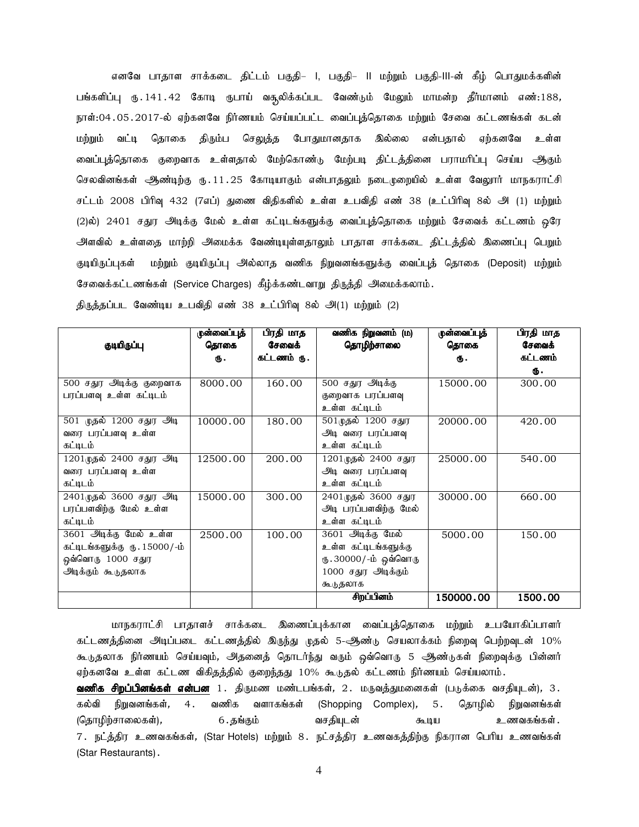எனவே பாதாள சாக்கடை திட்டம் பகுதி– I, பகுதி– II மற்றும் பகுதி-III-ன் கீழ் பொதுமக்களின் பங்களிப்பு ரு.141.42 கோடி ருபாய் வசூலிக்கப்பட வேண்டும் மேலும் மாமன்ற தீர்மானம் எண்:188, நாள்:04.05.2017-ல் ஏற்கனவே நிர்ணயம் செய்யப்பட்ட வைப்புத்தொகை மற்றும் சேவை கட்டணங்கள் கடன் மற்றும் வட்டி தொகை திரும்ப செ<u>லுக்</u>த போதுமானதாக இல்லை என்பதால் ஏற்கனவே உள்ள வைப்புத்தொகை குறைவாக உள்ளதால் மேற்கொண்டு மேற்படி திட்டத்தினை பராமரிப்பு செய்ய ஆகும் செலவினங்கள் ஆண்டிற்கு ரு. 11. 25 கோடியாகும் என்பாதலும் நடைமுறையில் உள்ள வேலூர் மாநகராட்சி சட்டம் 2008 பிரிவு 432 (7எப்) துணை விதிகளில் உள்ள உபவிதி எண் 38 (உட்பிரிவு 8ல் அி (1) மற்றும் (2)ல்) 2401 சதுர அடிக்கு மேல் உள்ள கட்டிடங்களுக்கு வைப்புத்தொகை மற்றும் சேவைக் கட்டணம் ஒரே அளவில் உள்ளதை மாற்றி அமைக்க வேண்டியுள்ளதாலும் பாதாள சாக்கடை திட்டத்தில் இணைப்பு பெறும் குடியிருப்புகள் மற்றும் குடியிருப்பு அல்லாத வணிக நிறுவனங்களுக்கு வைப்புத் தொகை (Deposit) மற்றும் சேவைக்கட்டணங்கள் (Service Charges) கீழ்க்கண்டவாறு திருத்தி அமைக்கலாம்.

|                               | ருன்வைப்புத் | பிரதி மாத   | வணிக நிறுவனம் (ம)     | ருன்வைப்புத் | பிரதி மாத |
|-------------------------------|--------------|-------------|-----------------------|--------------|-----------|
| குடியிருப்பு                  | தொகை         | சேவைக்      | தொழிற்சாலை            | தொகை         | சேவைக்    |
|                               | Ф.           | கட்டணம் ரு. |                       | Ф.           | கட்டணம்   |
|                               |              |             |                       |              | Ф.        |
| 500 சதுர அடிக்கு குறைவாக      | 8000.00      | 160.00      | 500 சதுர அடிக்கு      | 15000.00     | 300.00    |
| பரப்பளவு உள்ள கட்டிடம்        |              |             | குறைவாக பரப்பளவு      |              |           |
|                               |              |             | உள்ள கட்டிடம்         |              |           |
| 501 முதல் 1200 சதுர அடி       | 10000.00     | 180.00      | 501 முதல் 1200 சதுர   | 20000.00     | 420.00    |
| வரை பரப்பளவு உள்ள             |              |             | அடி வரை பரப்பளவு      |              |           |
| கட்டிடம்                      |              |             | உள்ள கட்டிடம்         |              |           |
| 1201 முதல் 2400 சதுர அடி      | 12500.00     | 200.00      | 1201முதல் 2400 சதுர   | 25000.00     | 540.00    |
| வரை பரப்பளவு உள்ள             |              |             | அடி வரை பரப்பளவு      |              |           |
| கட்டிடம்                      |              |             | உள்ள கட்டிடம்         |              |           |
| 2401 முதல் 3600 சதுர அடி      | 15000.00     | 300.00      | 2401முதல் 3600 சதுர   | 30000.00     | 660.00    |
| பரப்பளவிற்கு மேல் உள்ள        |              |             | அடி பரப்பளவிற்கு மேல் |              |           |
| கட்டிடம்                      |              |             | உள்ள கட்டிடம்         |              |           |
| 3601 அடிக்கு மேல் உள்ள        | 2500.00      | 100.00      | 3601 அடிக்கு மேல்     | 5000.00      | 150.00    |
| கட்டிடங்களுக்கு ரு. 15000/-ம் |              |             | உள்ள கட்டிடங்களுக்கு  |              |           |
| ஒவ்வொரு 1000 சதுர             |              |             | ரு.30000/-ம் ஒவ்வொரு  |              |           |
| அடிக்கும் கூடுதலாக            |              |             | 1000 சதுர அடிக்கும்   |              |           |
|                               |              |             | கூடுதலாக              |              |           |
|                               |              |             | சிறப்பினம்            | 150000.00    | 1500.00   |

திருத்தப்பட வேண்டிய உபவிதி எண் 38 உட்பிரிவு 8ல் அ(1) மற்றும் (2)

மாநகராட்சி பாதாளச் சாக்கடை இணைப்புக்கான வைப்புத்தொகை மற்றும் உபயோகிப்பாளர் கட்டணத்தினை அடிப்படை கட்டணத்தில் இருந்து முதல் 5-ஆண்டு செயலாக்கம் நிறைவு பெற்றவுடன் 10% கூடுதலாக நிர்ணயம் செய்யவும், அதனைத் தொடர்ந்து வரும் ஒவ்வொரு 5 ஆண்டுகள் நிறைவுக்கு பின்னர் ஏற்கனவே உள்ள கட்டண விகிதத்தில் குறைந்தது 10% கூடுதல் கட்டணம் நிர்ணயம் செய்யலாம்.

**வணிக சிறப்பினங்கள் என்பன** 1. திருமண மண்டபங்கள், 2. மருவத்துமனைகள் (படுக்கை வசதியுடன்), 3. கல்வி நிறுவனங்கள், 4. வணிக வளாகங்கள் (Shopping Complex), 5. தொழில் நிறுவனங்கள் (bjhHpw;rhiyfs;), 6.jA;Fk; trjpa[ld; Toa cztfA;fs;. 7. நட்த்திர உணவகங்கள், (Star Hotels) மற்றும் 8. நட்சத்திர உணவகத்திற்கு நிகரான பெரிய உணவங்கள் (Star Restaurants).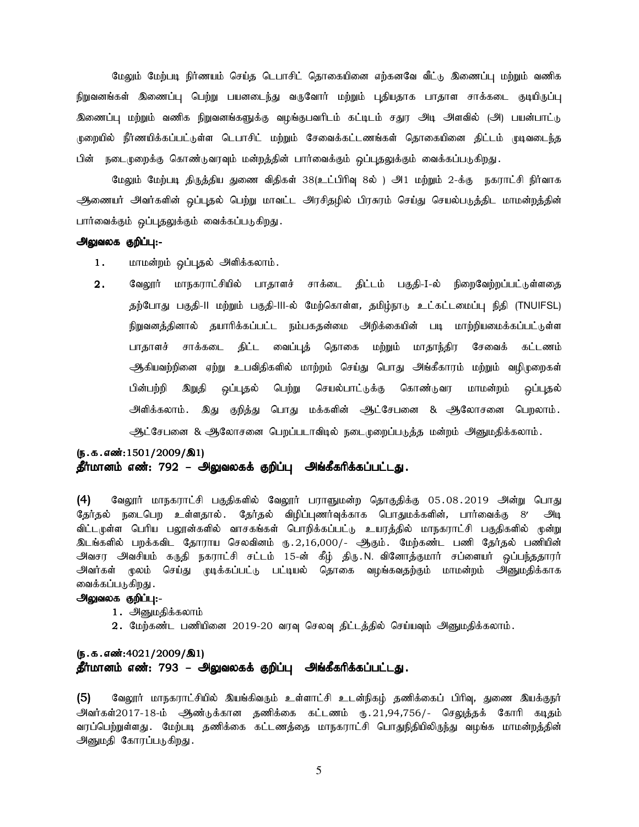மேலும் மேற்படி நிர்ணயம் செய்த டெபாசிட் தொகையினை எற்கனவே வீட்டு இணைப்பு மற்றும் வணிக நிறுவனங்கள் இணைப்பு பெற்று பயனடைந்து வருவோர் மற்றும் புதியதாக பாதாள சாக்கடை குடியிருப்பு இணைப்பு மற்றும் வணிக நிறுவனங்களுக்கு வழங்குபவரிடம் கட்டிடம் சதுர அடி அளவில் (அ) பயன்பாட்டு முறையில் நீர்ணயிக்கப்பட்டுள்ள டெபாசிட் மற்றும் சேவைக்கட்டணங்கள் தொகையினை திட்டம் முடிவடைந்த பின் நடைமுறைக்கு கொண்டுவரவும் மன்றத்தின் பார்வைக்கும் ஒப்புதலுக்கும் வைக்கப்படுகிறது .

மேலும் மேற்படி திருத்திய துணை விதிகள் 38(உட்பிரிவு 8ல் ) அி மற்றும் 2-க்கு நகராட்சி நிர்வாக ஆணையர் அவர்களின் ஒப்புதல் பெற்று மாவட்ட அரசிதழில் பிரசுரம் செய்து செயல்படுத்திட மாமன்றத்தின் பார்வைக்கும் ஒப்புதலுக்கும் வைக்கப்படுகிறது.

#### அலுவலக குறிப்பு:-

- 1. மாமன்றம் ஒப்புதல் அளிக்கலாம்.
- 2. வேலூர் மாநகராட்சியில் பாதாளச் சாக்டை திட்டம் பகுதி-I-ல் நிறைவேற்றப்பட்டுள்ளதை தற்போது பகுதி-II மற்றும் பகுதி-III-ல் மேற்கொள்ள, தமிழ்நாடு உட்கட்டமைப்பு நிதி (TNUIFSL) நிறுவனத்தினால் தயாரிக்கப்பட்ட நம்பகதன்மை அறிக்கையின் படி மாற்றியமைக்கப்பட்டுள்ள பாதாளச் சாக்கடை திட்ட வைப்புத் தொகை மற்றும் மாதாந்திர சேவைக் கட்டணம் ஆகியவற்றினை ஏற்று உபவிதிகளில் மாற்றம் செய்து பொது அங்கீகாரம் மற்றும் வழிமுறைகள் பின்பற்றி இறுதி ஒப்புதல் பெற்று செயல்பாட்டுக்கு கொண்டுவர மாமன்றம் ஒப்புதல் அளிக்கலாம். இது குறித்து பொது மக்களின் ஆட்சேபனை & ஆலோசனை பெறலாம். ஆட்சேபனை & ஆலோசனை பெறப்படாவிடில் நடைமுறைப்படுத்த மன்றம் அனுமதிக்கலாம்.

# $(5.5.5.5\ldots)(5.1/2009/\text{a}1)$ தீர்மானம் எண்: 792 – அலுவலகக் குறிப்பு அங்கீகரிக்கப்பட்டது.

(4) வேலூர் மாநகராட்சி பகுதிகளில் வேலூர் பராளுமன்ற தொகுதிக்கு 05.08.2019 அன்று பொது தேர்தல் நடைபெற உள்ளதால். தேர்தல் விழிப்புணர்வுக்காக பொதுமக்களின், பார்வைக்கு 8′ அடி விட்டமுள்ள பெரிய பலூன்களில் வாசகங்கள் பொறிக்கப்பட்டு உயரத்தில் மாநகராட்சி பகுதிகளில் முன்று இடங்களில் பறக்கவிட தோராய செலவினம் ரு.2,16,000/- ஆகும். மேற்கண்ட பணி தேர்தல் பணியின் அவசர அவசியம் கருதி நகராட்சி சட்டம் 15-ன் கீழ் திரு.N. வினோத்குமார் சப்ளையர் ஒப்பந்ததாரர் அவர்கள் மூலம் செய்து முடிக்கப்பட்டு பட்டியல் தொகை வழங்கவதற்கும் மாமன்றம் அனுமதிக்காக வைக்கப்படுகிறது .

#### அலுவலக குறிப்பு:-

- 1. அனுமதிக்கலாம்
- 2. மேற்கண்ட பணியினை 2019-20 வரவு செலவு திட்டத்தில் செய்யவும் அனுமதிக்கலாம்.

# $(5.5.5.5\cdot 4021/2009/\text{R}1)$ தீர்மானம் எண்: 793 – அலுவலகக் குறிப்பு அங்கீகரிக்கப்பட்டது.

 $(5)$  Baலூர் மாநகராட்சியில் இயங்கிவரும் உள்ளாட்சி உடன்நிகழ் தணிக்கைப் பிரிவு, துணை இயக்குநர் அவர்கள்2017-18-ம் ஆண்டுக்கான தணிக்கை கட்டணம் ரு.21,94,756/- செலுத்தக் கோரி கடிதம் வரப்பெற்றுள்ளது . மேற்படி தணிக்கை கட்டணத்தை மாநகராட்சி பொதுநிதியிலிருந்து வழங்க மாமன்றத்தின் அனுமதி கோரப்படுகிறது.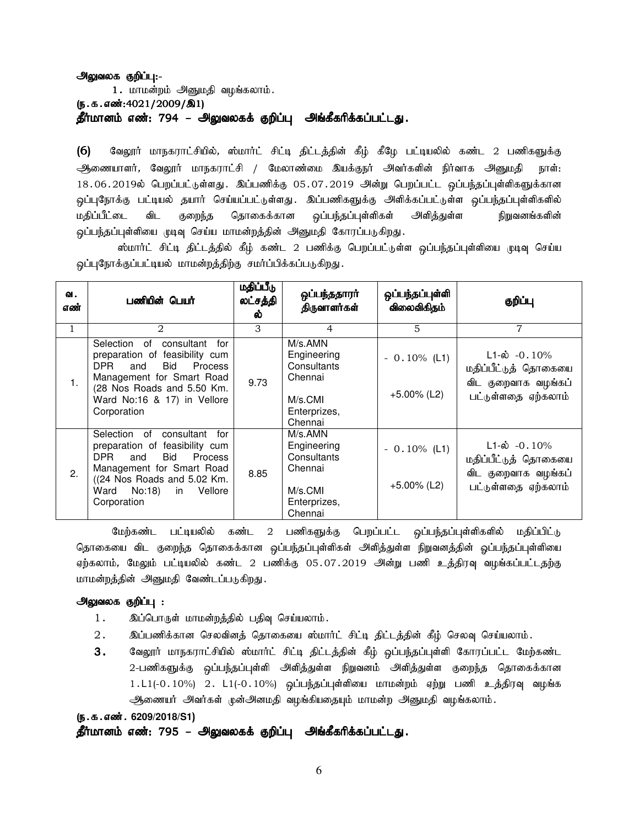# அலுவலக குறிப்பு:-

1. மாமன்றம் அனுமதி வழங்கலாம். (ந.க.எண்:4021/2009/இ1) தீர்மானம் எண்: 794 – அலுவலகக் குறிப்பு அங்கீகரிக்கப்பட்டது.

(6) வேலூர் மாநகராட்சியில், ஸ்மார்ட் சிட்டி திட்டத்தின் கீழ் கீழே பட்டியலில் கண்ட 2 பணிகளுக்கு ஆணையாளர், வேலூர் மாநகராட்சி / மேலாண்மை இயக்குநர் அவர்களின் நிர்வாக அனுமதி நாள்:  $18.06.2019$ ல் பெறப்பட்டுள்ளது. இப்பணிக்கு 05.07.2019 அன்று பெறப்பட்ட ஒப்பந்தப்புள்ளிகளுக்கான ஒப்புநோக்கு பட்டியல் தயார் செய்யப்பட்டுள்ளது. இப்பணிகளுக்கு அளிக்கப்பட்டுள்ள ஒப்பந்தப்புள்ளிகளில் மதிப்பீட்டை விட குறைந்த தொகைக்கான ஒப்பந்தப்புள்ளிகள் அளித்துள்ள நிறுவனங்களின் ஒப்பந்தப்புள்ளியை முடிவு செய்ய மாமன்றத்தின் அனுமதி கோரப்படுகிறது.

ஸ்மார்ட் சிட்டி திட்டத்தில் கீழ் கண்ட 2 பணிக்கு பெறப்பட்டுள்ள ஒப்பந்தப்புள்ளியை முடிவு செய்ய ஒப்புநோக்குப்பட்டியல் மாமன்றத்திற்கு சமர்ப்பிக்கப்படுகிறது.

| வ.<br>எண் | பணியின் பெயர்                                                                                                                                                                                                        | மதிப்பீடு<br>லட்சத்தி<br>ல் | ஒப்பந்ததாரா்<br>திருவாளர்கள்                                                           | ஒப்பந்தப்புள்ளி<br>விலைவிகிதம்   | குறிப்பு                                                                                       |
|-----------|----------------------------------------------------------------------------------------------------------------------------------------------------------------------------------------------------------------------|-----------------------------|----------------------------------------------------------------------------------------|----------------------------------|------------------------------------------------------------------------------------------------|
| 1         | 2                                                                                                                                                                                                                    | 3                           | 4                                                                                      | 5                                | 7                                                                                              |
| 1.        | Selection of<br>consultant<br>for<br>preparation of feasibility cum<br>Bid<br>DPR.<br><b>Process</b><br>and<br>Management for Smart Road<br>(28 Nos Roads and 5.50 Km.<br>Ward No:16 & 17) in Vellore<br>Corporation | 9.73                        | M/s.AMN<br>Engineering<br>Consultants<br>Chennai<br>M/s.CMI<br>Enterprizes,<br>Chennai | $-0.10\%$ (L1)<br>$+5.00\%$ (L2) | $L1-\dot{\omega}$ -0.10%<br>மதிப்பீட்டுத் தொகையை<br>விட குறைவாக வழங்கப்<br>பட்டுள்ளதை ஏற்கலாம் |
| 2.        | Selection of<br>consultant<br>for<br>preparation of feasibility cum<br>Bid<br>DPR.<br>Process<br>and<br>Management for Smart Road<br>((24 Nos Roads and 5.02 Km.<br>Ward<br>No:18)<br>in<br>Vellore<br>Corporation   | 8.85                        | M/s.AMN<br>Engineering<br>Consultants<br>Chennai<br>M/s.CMI<br>Enterprizes,<br>Chennai | $-0.10\%$ (L1)<br>$+5.00\%$ (L2) | $L1-\dot{\omega}$ -0.10%<br>மதிப்பீட்டுத் தொகையை<br>விட குறைவாக வழங்கப்<br>பட்டுள்ளதை ஏற்கலாம் |

மேற்கண்ட பட்டியலில் கண்ட 2 பணிகளுக்கு பெறப்பட்ட ஒப்பந்தப்புள்ளிகளில் மதிப்பிட்டு தொகையை விட குறைந்த தொகைக்கான ஒப்பந்தப்புள்ளிகள் அளித்துள்ள நிறுவனத்தின் ஒப்பந்தப்புள்ளியை ஏற்கலாம், மேலும் பட்டியலில் கண்ட 2 பணிக்கு 05.07.2019 அன்று பணி உத்திரவு வழங்கப்பட்டதற்கு மாமன்றத்தின் அனுமதி வேண்டப்படுகிறது.

#### அலுவலக குறிப்பு :

- 1. இப்பொருள் மாமன்றத்தில் பதிவு செய்யலாம்.
- 2. இப்பணிக்கான செலவினத் தொகையை ஸ்மார்ட் சிட்டி திட்டத்தின் கீழ் செலவு செய்யலாம்.
- 3. வேலூர் மாநகராட்சியில் ஸ்மார்ட் சிட்டி திட்டத்தின் கீழ் ஒப்பந்தப்புள்ளி கோரப்பட்ட மேற்கண்ட 2-பணிகளுக்கு ஒப்பந்தப்புள்ளி அளித்துள்ள நிறுவனம் அளித்துள்ள குறைந்த தொகைக்கான  $1.L1(-0.10\%)$  2.  $L1(-0.10\%)$  ஒப்பந்தப்புள்ளியை மாமன்றம் ஏற்று பணி உத்திரவு வழங்க ஆணையர் அவர்கள் முன்அனமதி வழங்கியதையும் மாமன்ற அனுமதி வழங்கலாம்.

#### (**ந.க.எண். 6209/2018/S1**)

தீர்மானம் எண்: 795 – அலுவலகக் குறிப்பு அங்கீகரிக்கப்பட்டது.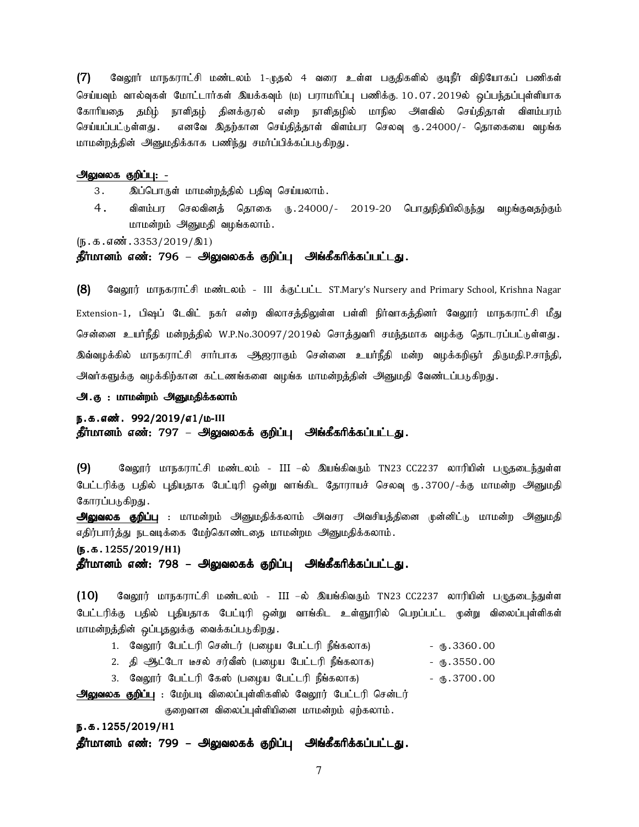$(7)$  வேலூர் மாநகராட்சி மண்டலம் 1-முதல் 4 வரை உள்ள பகுதிகளில் குடிநீர் விநியோகப் பணிகள் செய்யவும் வால்வுகள் மோட்டார்கள் இயக்கவும் (ம) பராமரிப்பு பணிக்கு. 10.07.2019ல் ஒப்பந்தப்புள்ளியாக கோரியதை தமிழ் நாளிதழ் தினக்குரல் என்ற நாளிதழில் மாநில அளவில் செய்திதாள் விளம்பரம் செய்யப்பட்டுள்ளது . எனவே இதற்கான செய்தித்தாள் விளம்பர செலவு ரு . 24000/- தொகையை வழங்க மாமன்றத்தின் அனுமதிக்காக பணிந்து சமர்ப்பிக்கப்படுகிறது.

#### அலுவலக குறிப்பு: -

- 3. இப்பொருள் மாமன்றத்தில் பதிவு செய்யலாம்.
- 4 . விளம்பர செலவினத் தொகை ரு.24000/- 2019-20 பொதுநிதியிலிருந்து வழங்குவதற்கும் மாமன்றம் அனுமதி வழங்கலாம்.

 $(\mathbf{b}.\mathbf{b}.\mathbf{d}.\mathbf{a}$ : 3353/2019/ $\mathbf{A}$ 1)

#### தீர்மானம் எண்: 796 – அலுவலகக் குறிப்பு அங்கீகரிக்கப்பட்டது.

(8) கேலூர் மாநகராட்சி மண்டலம் - III க்குட்பட்ட ST.Mary's Nursery and Primary School, Krishna Nagar Extension-1, பிஷப் டேவிட் நகர் என்ற விலாசத்திலுள்ள பள்ளி நிர்வாகத்தினர் வேலூர் மாநகராட்சி மீது சென்னை உயர்நீதி மன்றத்தில் W.P.No.30097/2019ல் சொத்துவரி சமந்தமாக வழக்கு தொடரப்பட்டுள்ளது. இவ்வழக்கில் மாநகராட்சி சார்பாக ஆஜராகும் சென்னை உயர்நீதி மன்ற வழக்கறிஞர் திருமதி.P.சாந்தி, அவர்களுக்கு வழக்கிற்கான கட்டணங்களை வழங்க மாமன்றத்தின் அனுமதி வேண்டப்படுகிறது.

#### அ. கு : மாமன்றம் அனுமதிக்கலாம்

#### ந.க.எண். 992/2019/எ1/ம-III

தீர்மானம் எண்: 797 – அலுவலகக் குறிப்பு அங்கீகரிக்கப்பட்டது.

(9) வேலூர் மாநகராட்சி மண்டலம் - III –ல் இயங்கிவரும் TN23 CC2237 லாரியின் பழுதடைந்துள்ள பேட்டரிக்கு பதில் புதியதாக பேட்டிரி ஒன்று வாங்கிட தோராயச் செலவு ரு.3700/-க்கு மாமன்ற அனுமதி கோரப்படுகிறது.

**அலுவலக குறிப்பு** : மாமன்றம் அனுமதிக்கலாம் அவசர அவசியத்தினை முன்னிட்டு மாமன்ற அனுமதி எதிர்பார்த்து நடவடிக்கை மேற்கொண்டதை மாமன்றம அனுமதிக்கலாம்.

(e.f.1255/2019/ (e.f.1255/2019/**H**1)

<u>தீர்மானம் எண்: 798 – அலுவலகக் குறிப்பு</u> அங்கீகரிக்கப்பட்டது.

 $(10)$  Bூலூர் மாநகராட்சி மண்டலம் - III –ல் இயங்கிவரும் TN23 CC2237 லாரியின் பழுதடைந்துள்ள பேட்டரிக்கு பதில் புதியதாக பேட்டிரி ஒன்று வாங்கிட உள்ளூரில் பெறப்பட்ட முன்று விலைப்புள்ளிகள் மாமன்றத்தின் ஒப்புதலுக்கு வைக்கப்படுகிறது.

|  |  |  |  |  |  | 1.  வேலூர்  பேட்டரி சென்டர்  (பழைய  பேட்டரி  நீங்கலாக) | $-$ ரூ.3360.00 |
|--|--|--|--|--|--|--------------------------------------------------------|----------------|
|--|--|--|--|--|--|--------------------------------------------------------|----------------|

- 2. தி <u>ஆட்டோ டீசல் சர்வீஸ் (ப</u>ழைய பேட்டரி நீங்கலாக) <sub>ரி</sub>.3550.00
- 3. BtY]u; Bgl;lup Bf!; (giHa Bgl;lup ePA;fyhf) U}.3700.00

அலுவலக குறிப்பு : மேற்படி விலைப்புள்ளிகளில் வேலூர் பேட்டரி சென்டர்

குறைவான விலைப்புள்ளியினை மாமன்றம் ஏற்கலாம்.

e.f.1255/2019/**H**1

தீர்மானம் எண்: 799 – அலுவலகக் குறிப்பு அங்கீகரிக்கப்பட்டது.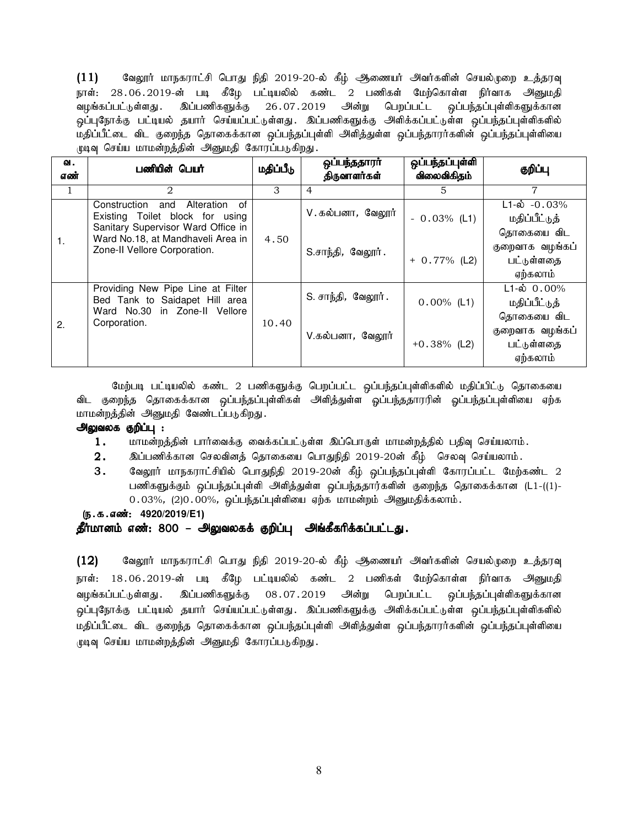$(11)$  கிலுரர் மாநகராட்சி பொது நிதி 2019-20-ல் கீழ் ஆணையர் அவர்களின் செயல்முறை உத்தரவு நாள்: 28.06.2019-ன் படி கீழே பட்டியலில் கண்ட 2 பணிகள் மேற்கொள்ள நிர்வாக அனுமதி வழங்கப்பட்டுள்ளது . இப்பணிகளுக்கு 26.07.2019 அன்று பெறப்பட்ட ஒப்பந்தப்புள்ளிகளுக்கான .<br>ஒப்புநோக்கு பட்டியல் தயார் செய்யப்பட்டுள்ளது. இப்பணிகளுக்கு அளிக்கப்பட்டுள்ள ஒப்பந்தப்புள்ளிகளில் .<br>மதிப்பீட்டை விட குறைந்த தொகைக்கான ஒப்பந்தப்புள்ளி அளித்துள்ள ஒப்பந்தாரர்களின் ஒப்பந்தப்புள்ளியை முடிவு செய்ய மாமன்றத்தின் அனுமதி கோரப்படுகிறது.

| ഖ.<br>எண் | பணியின் பெயர்                                                                                                                                      | மதிப்பீடு | ஒப்பந்ததாரா<br>திருவாளர்கள் | ஒப்பந்தப்புள்ளி<br>விலைவிகிதம் | குறிப்பு                                                |
|-----------|----------------------------------------------------------------------------------------------------------------------------------------------------|-----------|-----------------------------|--------------------------------|---------------------------------------------------------|
| 1         | $\mathfrak{D}_{\mathfrak{p}}$                                                                                                                      | 3         | $\overline{4}$              | 5                              | 7                                                       |
|           | Construction and<br>Alteration<br>of<br>Existing Toilet block for using<br>Sanitary Supervisor Ward Office in<br>Ward No.18, at Mandhaveli Area in | 4.50      | V. கல்பனா <i>,</i> வேலூர்   | $-0.03%$ (L1)                  | $L1-\dot{\omega}$ -0.03%<br>மதிப்பீட்டுத்<br>தொகையை விட |
|           | 1.<br>Zone-II Vellore Corporation.                                                                                                                 |           | S.சாந்தி, வேலூர்.           | $+ 0.77\%$ (L2)                | குறைவாக வழங்கப்<br>பட்டுள்ளதை<br>ஏற்கலாம்               |
| 2.        | Providing New Pipe Line at Filter<br>Bed Tank to Saidapet Hill area<br>Ward No.30 in Zone-II Vellore<br>Corporation.                               | 10.40     | S. சாந்தி, வேலூர்.          | $0.00\%$ (L1)                  | $L1-\dot{\omega}$ 0.00%<br>மதிப்பீட்டுத்<br>தொகையை விட  |
|           |                                                                                                                                                    |           | V.கல்பனா, வேலூர்            | $+0.38\%$ (L2)                 | குறைவாக வழங்கப்<br>பட்டுள்ளதை<br>ஏற்கலாம்               |

மேற்படி பட்டியலில் கண்ட 2 பணிகளுக்கு பெறப்பட்ட ஒப்பந்தப்புள்ளிகளில் மதிப்பிட்டு தொகையை விட குறைந்த தொகைக்கான ஒப்பந்தப்புள்ளிகள் அளித்துள்ள ஒப்பந்ததாரரின் ஓப்பந்தப்புள்ளியை ஏற்க மாமன்றத்தின் அனுமதி வேண்டப்படுகிறது.

#### அலுவலக குறிப்பு :

- $1.$  மாமன்றத்தின் பார்வைக்கு வைக்கப்பட்டுள்ள இப்பொருள் மாமன்றத்தில் பதிவு செய்யலாம்.
- $2.$   $\;$  இப்பணிக்கான செலவினத் தொகையை பொதுநிதி 2019-20ன் கீழ் செலவு செய்யலாம்.
- $3.$  8வலூர் மாநகராட்சியில் பொதுநிதி 2019-20ன் கீழ் ஒப்பந்தப்புள்ளி கோரப்பட்ட மேற்கண்ட 2 பணிகளுக்கும் ஒப்பந்தப்புள்ளி அளித்துள்ள ஒப்பந்ததார்களின் குறைந்த தொகைக்கான (L1-((1)- $0.03\%$ , (2) $0.00\%$ , ஒப்பந்தப்புள்ளியை ஏற்க மாமன்றம் அனுமதிக்கலாம்.

#### (**ந.க.எண்: 4920/2019/E1**)

## தீர்மானம் எண்: 800 – அலுவலகக் குறிப்பு அங்கீகரிக்கப்பட்டது.

 $(12)$  Baலூர் மாநகராட்சி பொது நிதி 2019-20-ல் கீழ் ஆணையர் அவர்களின் செயல்முறை உத்தரவு நாள்: 18.06.2019-ன் படி கீழே பட்டியலில் கண்ட 2 பணிகள் மேற்கொள்ள நிர்வாக அ<u>னு</u>மதி வழங்கப்பட்டுள்ளது . இப்பணிகளுக்கு 08.07.2019 அன்று பெறப்பட்ட ஒப்பந்தப்புள்ளிகளுக்கான ஒப்புநோக்கு பட்டியல் தயார் செய்யப்பட்டுள்ளது. இப்பணிகளுக்கு அளிக்கப்பட்டுள்ள ஒப்பந்தப்புள்ளிகளில் மதிப்பீட்டை விட குறைந்த தொகைக்கான ஒப்பந்தப்புள்ளி அளித்துள்ள ஒப்பந்தாரர்களின் ஒப்பந்தப்புள்ளியை முடிவு செய்ய மாமன்றத்தின் அனுமதி கோரப்படுகிறது.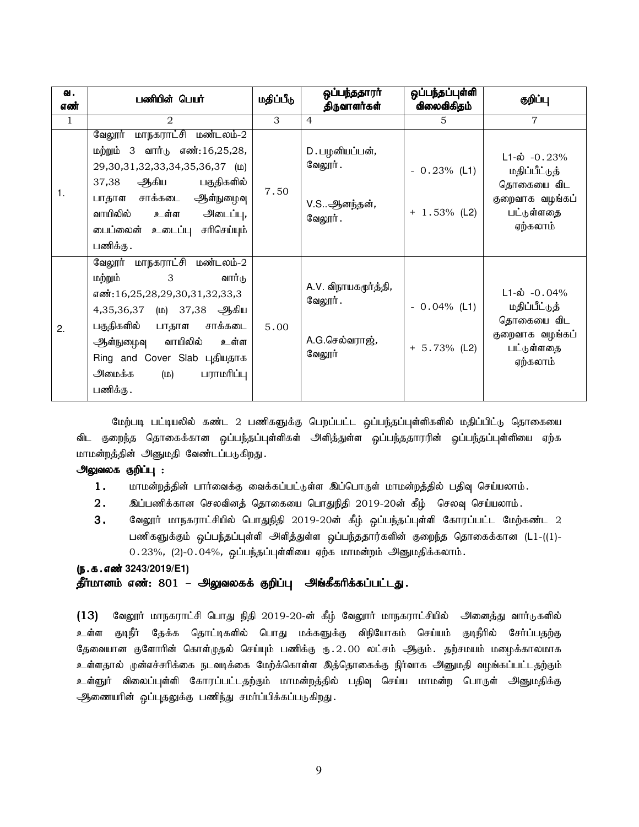| வ.<br>எண்    | பணியின் பெயர்                                                                                                                                                                                                                                                                     | மதிப்பீடு | ஒப்பந்ததாரா்<br>திருவாளர்கள்                                | ஒப்பந்தப்புள்ளி<br>விலைவிகிதம்    | குறிப்பு                                                                                             |
|--------------|-----------------------------------------------------------------------------------------------------------------------------------------------------------------------------------------------------------------------------------------------------------------------------------|-----------|-------------------------------------------------------------|-----------------------------------|------------------------------------------------------------------------------------------------------|
| $\mathbf{1}$ | 2                                                                                                                                                                                                                                                                                 | 3         | $\overline{4}$                                              | 5                                 | $\overline{7}$                                                                                       |
| 1.           | வேலூர் மாநகராட்சி மண்டலம்-2<br>மற்றும் 3 வார் <sub>டு</sub> எண்:16,25,28,<br>29,30,31,32,33,34,35,36,37 (LD)<br>ஆகிய<br>37,38<br>பகுதிகளில்<br>பாதாள சாக்கடை ஆள்நுழைவு<br>வாயிலில்<br>உள்ள அடைப்பு,<br>டைப்லைன் உடைப்பு சரிசெய்யும்<br>பணிக்கு .                                  | 7.50      | D. பழனியப்பன்,<br>வேலூர் .<br>V.Sஆனந்தன்,<br>வேலூர்.        | $-0.23%$ (L1)<br>$+ 1.53\%$ (L2)  | $L1-\dot{\omega} -0.23%$<br>மதிப்பீட்டுத்<br>தொகையை விட<br>குறைவாக வழங்கப்<br>பட்டுள்ளதை<br>ஏற்கலாம் |
| 2.           | வேலூர் மாநகராட்சி மண்டலம்-2<br>மற்றும்<br>3 <sup>7</sup><br>வார்டு<br>எண்:16,25,28,29,30,31,32,33,3<br>4,35,36,37 (ம) 37,38 ஆகிய<br>பகுதிகளில்<br>பாதாள சாக்கடை<br>ஆள்நுழைவு வாயிலில் உள்ள<br>Ring and Cover Slab புதியதாக<br>அமைக்க<br>$(\omega)$ <i>பராமரிப்பு</i><br>பணிக்கு . | 5.00      | A.V. விநாயகமூர்த்தி,<br>வேலூர்.<br>A.G.செல்வராஜ்,<br>வேலூர் | $-0.04\%$ (L1)<br>$+ 5.73\%$ (L2) | $L1-\dot{\omega}$ -0.04%<br>மதிப்பீட்டுத்<br>தொகையை விட<br>குறைவாக வழங்கப்<br>பட்டுள்ளதை<br>ஏற்கலாம் |

மேற்படி பட்டியலில் கண்ட 2 பணிகளுக்கு பெறப்பட்ட ஒப்பந்தப்புள்ளிகளில் மதிப்பிட்டு தொகையை விட குறைந்த தொகைக்கான ஒப்பந்தப்புள்ளிகள் அளித்துள்ள ஓப்பந்ததாரரின் ஓப்பந்தப்புள்ளியை ஏற்க மாமன்றத்தின் அனுமதி வேண்டப்படுகிறது.

# அலுவலக குறிப்பு :

- $1.$  khru khing; மார்வைக்கு வைக்கப்பட்டுள்ள இப்பொருள் மாமன்றத்தில் பதிவு செய்யலாம்.
- $2.$   $\;$  இப்பணிக்கான செலவினத் தொகையை பொதுநிதி 2019-20ன் கீழ்  $\;$  செலவு செய்யலாம்.
- 3. கேலூர் மாநகராட்சியில் பொதுநிதி 2019-20ன் கீழ் ஒப்பந்தப்புள்ளி கோரப்பட்ட மேற்கண்ட 2 பணிகளுக்கும் ஒப்பந்தப்புள்ளி அளித்துள்ள ஒப்பந்ததார்களின் குறைந்த தொகைக்கான (L1-((1)- $0.23\%$ ,  $(2)$ - $0.04\%$ , ஒப்பந்தப்புள்ளியை ஏற்க மாமன்றம் அனுமதிக்கலாம்.

# (ந.க.எண் 3243/2019/E1)

# தீர்மானம் எண்: 801 – அலுவலகக் குறிப்பு அங்கீகரிக்கப்பட்டது.

 $(13)$  வேலூர் மாநகராட்சி பொது நிதி 2019-20-ன் கீழ் வேலூர் மாநகராட்சியில் அனைத்து வார்டுகளில் உள்ள குடிநீர் தேக்க தொட்டிகளில் பொது மக்களுக்கு விநியோகம் செய்யம் குடிநீரில் சேர்ப்பதற்கு தேவையான குளோரின் கொள்முதல் செய்யும் பணிக்கு ரு.2.00 லட்சம் ஆகும். தற்சமயம் மழைக்காலமாக உள்ளதால் முன்எச்சரிக்கை நடவடிக்கை மேற்க்கொள்ள இத்தொகைக்கு நிர்வாக அனுமதி வழங்கப்பட்டதற்கும் உள்ளுர் விலைப்புள்ளி கோரப்பட்டதற்கும் மாமன்றத்தில் பதிவு செய்ய மாமன்ற பொருள் அனுமதிக்கு ஆணையரின் ஒப்புதலுக்கு பணிந்து சமர்ப்பிக்கப்படுகிறது.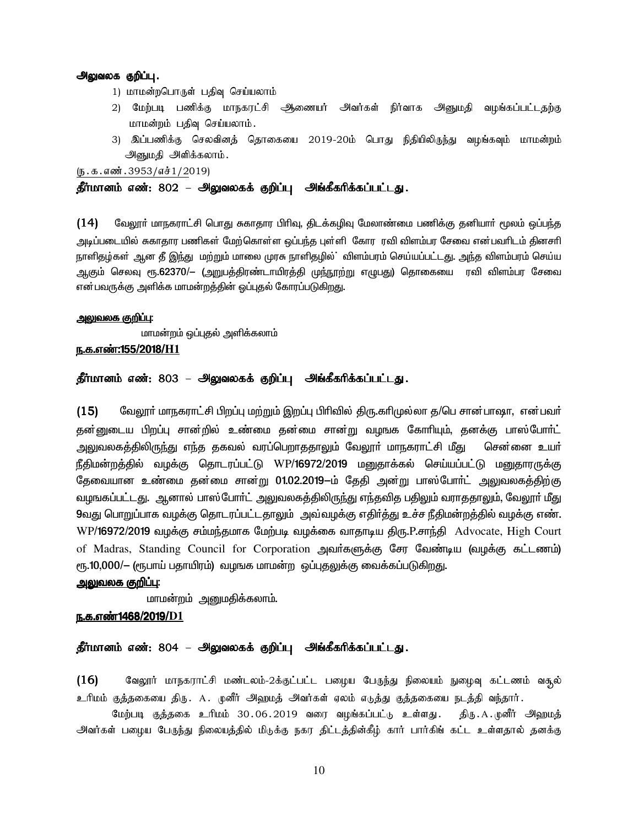### அலுவலக குறிப்பு.

- 1) மாமன்றபொருள் பதிவு செய்யலாம்
- 2) மேற்படி பணிக்கு மாநகரட்சி ஆணையர் அவர்கள் நிர்வாக அனுமதி வழங்கப்பட்டதற்கு மாமன்றம் பதிவு செய்யலாம்.
- 3) இப்பணிக்கு செலவினக் கொகையை 2019-20ம் பொது நிகியிலிருந்து வமங்கவும் மாமன்றம் அனுமதி அளிக்கலாம்.

 $(5.5.5.5\pi)(5.3953/\pi)(2019)$ 

# தீர்மானம் எண்: 802 – அலுவலகக் குறிப்பு அங்கீகரிக்கப்பட்டது.

 $(14)$  மேலூா் மாநகராட்சி பொது சுகாதார பிாிவு, திடக்கழிவு மேலாண்மை பணிக்கு தனியாா் மூலம் ஒப்பந்த அடிப்படையில் சுகாதார பணிகள் மேற்கொள்ள ஒப்பந்த புள்ளி கோர ரவி விளம்பர சேவை என்பவரிடம் தினசரி . நாளிதழ்கள் ஆன தீ இந்து மற்றும் மாலை முரசு நாளிதழில் விளம்பரம் செய்யப்பட்டது. அந்த விளம்பரம் செய்ய ஆகும் செலவு ரூ.62370/— (அறுபத்திரண்டாயிரத்தி மு<u>ந்ந</u>ூற்று எழுபது) தொகையை ரவி விளம்பர சேவை என்பவருக்கு அளிக்க மாமன்றத்தின் ஒப்புதல் கோரப்படுகிறது.

#### <u>அலுவலக குறிப்பு:</u>

மாமன்றம் ஒப்புதல் அளிக்கலாம்

#### <u>ந.க.எண்:155/2018/H1</u>

# தீர்மானம் எண்: 803 – அலுவலகக் குறிப்பு அங்கீகரிக்கப்பட்டது.

 $(15)$  மேலூா் மாநகராட்சி பிறப்பு மற்றும் இறப்பு பிாிவில் திரு.காிமுல்லா த/பெ சான்பாஷா, என்பவா் தன்னுடைய பிறப்பு சான்றில் உண்மை தன்மை சான்று வழஙக கோரியும், தனக்கு பாஸ்போா்ட் அலுவலகத்திலிருந்து எந்த தகவல் வரப்பெறாததாலும் வேலூா் மாநகராட்சி மீது சென்னை உயா் நீதிமன்றத்தில் வழக்கு தொடரப்பட்டு WP/16972/2019 மனுதாக்கல் செய்யப்பட்டு மனுதாரருக்கு தேவையான உண்மை தன்மை சான்று 01.02.2019-ம் தேதி அன்று பாஸ்போா்ட் அலுவலகத்திற்கு வழஙகப்பட்டது. ஆனால் பாஸ்போா்ட் அலுவலகத்திலிருந்து எந்தவித பதிலும் வராததாலும், வேலூா் மீது 9வது பொறுப்பாக வழக்கு தொடரப்பட்டதாலும் அவ்வழக்கு எதிர்த்து உச்ச நீதிமன்றத்தில் வழக்கு எண். WP/**16972/2019** வழக்கு சம்மந்தமாக மேற்படி வழக்கை வாதாடிய திரு.P.சாந்தி Advocate, High Court of Madras, Standing Council for Corporation அவர்களுக்கு சேர வேண்டிய (வழக்கு கட்டணம்) ரூ.10,000/— (ரூபாய் பதாயிரம்) வழஙக மாமன்ற ஒப்புதலுக்கு வைக்கப்படுகிறது.

#### <u>அலுவலக குறிப்பு:</u>

மாமன்றம் அனுமகிக்கலாம்.

# <u>ந.க.எண்1468/2019/D1</u>

#### தீர்மானம் எண்: 804 – அலுவலகக் குறிப்பு அங்கீகரிக்கப்பட்டது.

 $(16)$  Baலூர் மாநகராட்சி மண்டலம்-2க்குட்பட்ட பழைய பேருந்து நிலையம் நுழைவு கட்டணம் வசூல் உரிமம் குத்தகையை திரு. A. முனீர் அஹமத் அவர்கள் ஏலம் எடுத்து குத்தகையை நடத்தி வந்தார்.

மேற்படி குக்ககை உரிமம் 30.06.2019 வரை வமங்கப்பட்<sub>மி</sub> உள்ளது. கிரு.A.முனீர் அவறமக் அவர்கள் பழைய பேருந்து நிலையத்தில் மிடுக்கு நகர திட்டத்தின்கீழ் கார் பார்கிங் கட்ட உள்ளதால் தனக்கு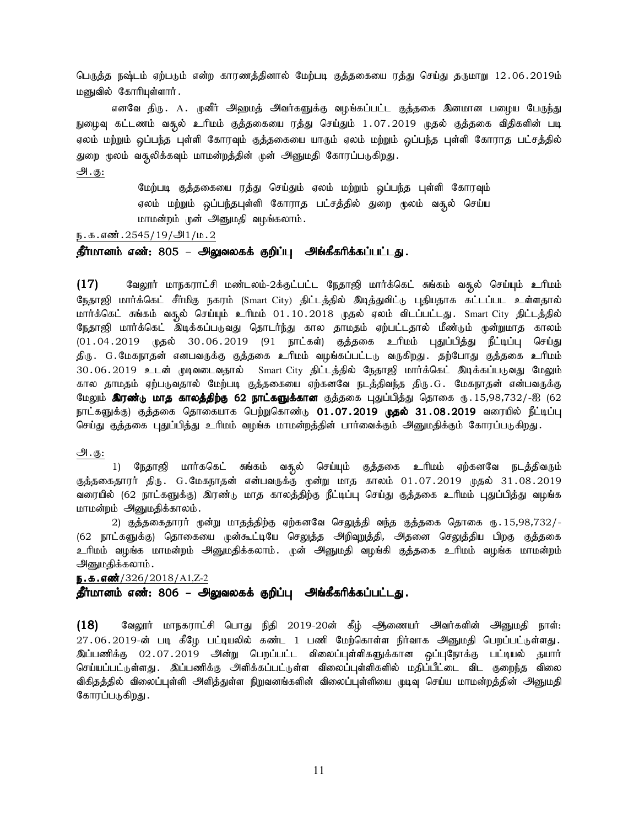பெருத்த நஷ்டம் ஏற்படும் என்ற காரணத்தினால் மேற்படி குத்தகையை ரத்து செய்து தருமாறு 12.06.2019ம் மனுவில் கோரியுள்ளார்.

எனவே திரு. A. முனீர் அஹமத் அவர்களுக்கு வழங்கப்பட்ட குத்தகை இனமான பழைய பே<u>ருந்து</u> நுழைவு கட்டணம் வசூல் உரிமம் குத்தகையை ரத்து செய்தும் 1.07.2019 முதல் குத்தகை விதிகளின் படி ஏலம் மற்றும் ஒப்பந்த புள்ளி கோரவும் குத்தகையை யாரும் ஏலம் மற்றும் ஒப்பந்த புள்ளி கோராத பட்சத்தில் துறை மூலம் வசூலிக்கவும் மாமன்றத்தின் முன் அனுமதி கோரப்படுகிறது.

# m.F:

மேற்படி குத்தகையை ரத்து செய்தும் ஏலம் மற்றும் ஒப்பந்த புள்ளி கோரவும் ஏலம் மற்றும் ஒப்பந்தபுள்ளி கோராத பட்சத்தில் துறை மூலம் வசூல் செய்ய மாமன்றம் முன் அனுமதி வழங்கலாம்.

#### ந.க.எண்.2545/19/அ1/ம.2

# தீர்மானம் எண்: 805 – அலுவலகக் குறிப்பு அங்கீகரிக்கப்பட்டது.

 $(17)$  வேலூர் மாநகராட்சி மண்டலம்-2க்குட்பட்ட நேதாஜி மார்க்கெட் சுங்கம் வசூல் செய்யும் உரிமம் நேதாஜி மார்க்கெட் சீர்மிகு நகரம் (Smart City) திட்டத்தில் இடித்துவிட்டு புதியதாக கட்டப்பட உள்ளதால் மார்க்கெட் சுங்கம் வசூல் செய்யும் உரிமம் 01.10.2018 முதல் ஏலம் விடப்பட்டது. Smart City திட்டத்தில் நேதாஜி மார்க்கெட் இடிக்கப்படுவது தொடர்ந்து கால தாமதம் ஏற்பட்டதால் மீண்டும் முன்றுமாத காலம்  $(01.04.2019$  முதல்  $30.06.2019$  (91 நாட்கள்) குத்தகை உரிமம் புதுப்பித்து நீட்டிப்பு செய்து திரு. G.மேகநாதன் எனபவருக்கு குத்தகை உரிமம் வழங்கப்பட்டடு வருகிறது. தற்போது குத்தகை உரிமம் 30.06.2019 உடன் முடிவடைவதால் Smart City திட்டத்தில் நேதாஜி மார்க்கெட் இடிக்கப்படுவது மேலும் கால தாமதம் ஏற்படுவதால் மேற்படி குத்தகையை ஏற்கனவே நடத்திவந்த திரு.G. மேகநாதன் என்பவருக்கு மேலும் **இரண்டு மாத காலத்திற்கு 62 நாட்களுக்கான** குத்தகை புதுப்பித்து தொகை ரு. 15,98,732/-ஐ (62 நாட்களுக்கு) குத்தகை தொகையாக பெற்றுகொண்டு **01.07.2019 முதல் 31.08.2019** வரையில் நீட்டிப்பு செய்து குத்தகை புதுப்பித்து உரிமம் வழங்க மாமன்றத்தின் பார்வைக்கும் அனுமதிக்கும் கோரப்படுகிறது.

#### அ. கு:

1) நேதாஜி மார்ககெட் சுங்கம் வசூல் செய்யும் குத்தகை உரிமம் ஏற்கனவே நடத்திவரும் குத்தகைதாரர் திரு. G.மேகநாதன் என்பவருக்கு முன்று மாத காலம் 01.07.2019 முதல் 31.08.2019 வரையில் (62 நாட்களுக்கு) இரண்டு மாத காலத்திற்கு நீட்டிப்பு செய்து குத்தகை உரிமம் புதுப்பித்து வழங்க மாமன்றம் அனுமதிக்காலம்.

2) குத்தகைதாரர் முன்று மாதத்திற்கு ஏற்கனவே செலுத்தி வந்த குத்தகை தொகை ரு. 15,98,732/-(62 நாட்களுக்கு) தொகையை முன்கூட்டியே செலுத்த அறிவுறுத்தி, அதனை செலுத்திய பிறகு குத்தகை உரிமம் வழங்க மாமன்றம் அனுமதிக்கலாம். முன் அனுமதி வழங்கி குத்தகை உரிமம் வழங்க மாமன்றம் அனுமதிக்கலாம் .

#### ந.**க.எண்**/326/2018/A1,Z-2

# தீர்மானம் எண்: 806 – அலுவலகக் குறிப்பு அங்கீகரிக்கப்பட்டது.

 $(18)$  கேலூர் மாநகராட்சி பொது நிதி 2019-20ன் கீழ் ஆணையர் அவர்களின் அனுமதி நாள்: 27.06.2019-ன் படி கீழே பட்டியலில் கண்ட 1 பணி மேற்கொள்ள நிர்வாக அனுமதி பெறப்பட்டுள்ளது. <u>இப்பணிக்கு</u> 02.07.2019 அன்று பெறப்பட்ட விலைப்புள்ளிகளுக்கான ஒப்புநோக்கு பட்டியல் தயார் செய்யப்பட்டுள்ளது . இப்பணிக்கு அளிக்கப்பட்டுள்ள விலைப்புள்ளிகளில் மதிப்பீட்டை விட குறைந்த விலை விகிதத்தில் விலைப்புள்ளி அளித்துள்ள நிறுவனங்களின் விலைப்புள்ளியை முடிவு செய்ய மாமன்றத்தின் அனுமதி கோரப்படுகிறது.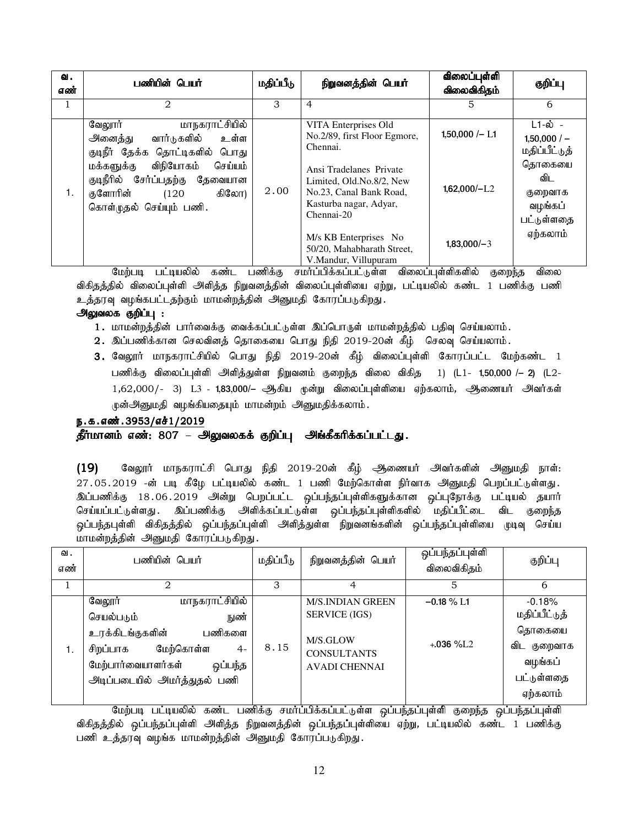| வ.<br>எண் | பணியின் பெயர்                                                                                                                                                                                                                   | மதிப்பீடு | நிறுவனத்தின் பெயர்                                                                                                                                                                         | விலைப்புள்ளி<br>விலைவிகிதம்       | குறிப்பு                                                                                      |
|-----------|---------------------------------------------------------------------------------------------------------------------------------------------------------------------------------------------------------------------------------|-----------|--------------------------------------------------------------------------------------------------------------------------------------------------------------------------------------------|-----------------------------------|-----------------------------------------------------------------------------------------------|
| 1         | $\mathfrak{D}_{\mathfrak{p}}$                                                                                                                                                                                                   | 3         | $\overline{4}$                                                                                                                                                                             | 5                                 | 6                                                                                             |
| 1.        | மாநகராட்சியில்<br>வேலூர்<br>அனைத்து<br>வார்டுகளில்<br>உள்ள<br>குடிநீர் தேக்க தொட்டிகளில் பொது<br>விநியோகம்<br>செய்யம்<br>மக்களுக்கு<br>குடிநீரில் சேர்ப்பதற்கு தேவையான<br>குளோரின்<br>கிலோ)<br>(120)<br>கொள்முதல் செய்யும் பணி. | 2.00      | VITA Enterprises Old<br>No.2/89, first Floor Egmore,<br>Chennai.<br>Ansi Tradelanes Private<br>Limited, Old.No.8/2, New<br>No.23, Canal Bank Road,<br>Kasturba nagar, Adyar,<br>Chennai-20 | $1,50,000/- L1$<br>$1,62,000/-L2$ | L1-ல் -<br>$1,50,000/-$<br>மதிப்பீட்டுத்<br>தொகையை<br>விட<br>குறைவாக<br>வழங்கப்<br>பட்டுள்ளதை |
|           |                                                                                                                                                                                                                                 |           | M/s KB Enterprises No<br>50/20, Mahabharath Street,<br>V.Mandur, Villupuram                                                                                                                | $1,83,000/-3$                     | ஏற்கலாம்                                                                                      |

மேற்படி பட்டியலில் கண்ட பணிக்கு சமாப்பிக்கப்பட்டுள்ள விலைப்புள்ளிகளில் குறைந்த விலை விகிதத்தில் விலைப்புள்ளி அளித்த நிறுவனத்தின் விலைப்புள்ளியை ஏற்று, பட்டியலில் கண்ட 1 பணிக்கு பணி உத்தரவு வழங்கபட்டதற்கும் மாமன்றத்தின் அனுமதி கோரப்படுகிறது.

# அலுவலக குறிப்பு :

- 1. மாமன்றத்தின் பார்வைக்கு வைக்கப்பட்டுள்ள இப்பொருள் மாமன்றத்தில் பதிவு செய்யலாம்.
- 2. இப்பணிக்கான செலவினத் தொகையை பொது நிதி 2019-20ன் கீழ் செலவு செய்யலாம்.
- 3. வேலூர் மாநகராட்சியில் பொது நிதி 2019-20ன் கீழ் விலைப்புள்ளி கோரப்பட்ட மேற்கண்ட 1 பணிக்கு விலைப்புள்ளி அளித்துள்ள நிறுவனம் குறைந்த விலை விகித 1) (L1- 1,50,000 /— 2) (L2- $1,62,000/$ - 3)  $L3$  -  $1,83,000/$ – ஆகிய முன்று விலைப்புள்ளியை ஏற்கலாம், ஆணையா் அவா்கள் முன்அனுமதி வழங்கியதையும் மாமன்றம் அனுமதிக்கலாம்.

# ந.க.எண்.3953/எச்1/2019

# தீர்மானம் எண்: 807 – அலுவலகக் குறிப்பு அங்கீகரிக்கப்பட்டது.

 $(19)$  கேலூர் மாநகராட்சி பொது நிதி 2019-20ன் கீழ் ஆணையர் அவர்களின் அனுமதி நாள்:  $27.05.2019$  -ன் படி கீழே பட்டியலில் கண்ட 1 பணி மேற்கொள்ள நிர்வாக அனுமதி பெறப்பட்டுள்ளது. இப்பணிக்கு 18.06.2019 அன்று பெறப்பட்ட ஒப்பந்தப்புள்ளிகளுக்கான ஒப்புநோக்கு பட்டியல் தயார் செய்யப்பட்டுள்ளது . இப்பணிக்கு அளிக்கப்பட்டுள்ள ஒப்பந்தப்புள்ளிகளில் மதிப்பீட்டை விட குறைந்த ஒப்பந்தபுள்ளி விகிதத்தில் ஒப்பந்தப்புள்ளி அளித்துள்ள நிறுவனங்களின் ஒப்பந்தப்புள்ளியை முடிவு செய்ய மாமன்றத்தின் அனுமதி கோரப்படுகிறது.

| வ.<br>எண் | பணியின் பெயர்                                                                                                                                                                  | மதிப்பீடு | நிறுவனத்தின் பெயர்                                                                                        | ஒப்பந்தப்புள்ளி<br>விலைவிகிதம்   | குறிப்பு                                                                                |
|-----------|--------------------------------------------------------------------------------------------------------------------------------------------------------------------------------|-----------|-----------------------------------------------------------------------------------------------------------|----------------------------------|-----------------------------------------------------------------------------------------|
|           |                                                                                                                                                                                | 3         |                                                                                                           | 5                                | 6                                                                                       |
| 1.        | மாநகராட்சியில்<br>வேலூர்<br>செயல்படும்<br>நுண்<br>உரக்கிடங்குகளின்<br>பணிகளை<br>மேற்கொள்ள<br>சிறப்பாக<br>$4-$<br>மேற்பார்வையாளர்கள்<br>ஒப்பந்த<br>அடிப்படையில் அமர்த்துதல் பணி | 8.15      | <b>M/S.INDIAN GREEN</b><br><b>SERVICE (IGS)</b><br>M/S.GLOW<br><b>CONSULTANTS</b><br><b>AVADI CHENNAI</b> | $-0.18 \% L1$<br>$+.036\%$ $1.2$ | $-0.18%$<br>மதிப்பீட்டுத்<br>தொகையை<br>விட குறைவாக<br>வழங்கப்<br>பட்டுள்ளதை<br>ஏற்கலாம் |

மேற்படி பட்டியலில் கண்ட பணிக்கு சமர்ப்பிக்கப்பட்டுள்ள ஒப்பந்தப்புள்ளி குறைந்த ஒப்பந்தப்புள்ளி விகிதத்தில் ஒப்பந்தப்புள்ளி அளித்த நிறுவனத்தின் ஒப்பந்தப்புள்ளியை ஏற்று, பட்டியலில் கண்ட 1 பணிக்கு பணி உத்தரவு வழங்க மாமன்றத்தின் அனுமதி கோரப்படுகிறது.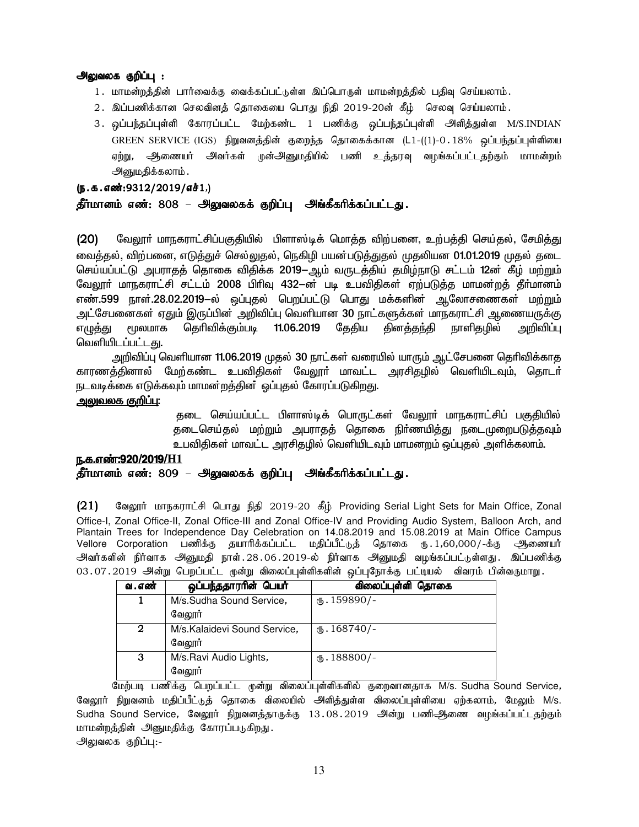# அலுவலக குறிப்பு :

- 1. மாமன்றத்தின் பார்வைக்கு வைக்கப்பட்டுள்ள இப்பொருள் மாமன்றத்தில் பதிவு செய்யலாம்.
- $2.$  இப்பணிக்கான செலவினத் தொகையை பொது நிதி 2019-20ன் கீழ் செலவு செய்யலாம்.
- 3. ஒப்பந்தப்புள்ளி கோரப்பட்ட மேற்கண்ட 1 பணிக்கு ஒப்பந்தப்புள்ளி அிளித்துள்ள M/S.INDIAN GREEN SERVICE (IGS) நிறுவனத்தின் குறைந்த தொகைக்கான (L1-((1)-0.18% ஒப்பந்தப்புள்ளியை ஏற்று, ஆணையர் அவர்கள் முன்அனுமதியில் பணி உத்தரவு வழங்கப்பட்டதற்கும் மாமன்றம் அனுமதிக்கலாம்.

 $(5.5.5.5\ldots)(5.5.5)$ 

# தீர்மானம் எண்: 808 – அலுவலகக் குறிப்பு அங்கீகரிக்கப்பட்டது.

(20) வேலூா் மாநகராட்சிப்பகுதியில் பிளாஸ்டிக் மொத்த விற்பனை, உற்பத்தி செய்தல், சேமித்து வைத்தல், விற்பனை, எடுத்துச் செல்லுதல், நெகிழி பயன்படுத்துதல் முதலியன 01.01.2019 முதல் தடை செய்யப்பட்டு அபராதத் தொகை விதிக்க 2019—ஆம் வருடத்திய் தமிழ்நாடு சட்டம் 12ன் கீழ் மற்றும் வேலூா் மாநகராட்சி சட்டம் 2008 பிரிவு 432-ன் படி உபவிதிகள் ஏற்படுத்த மாமன்றத் தீா்மானம் எண்.599 நாள்.28.02.2019–ல் ஒப்புதல் பெறப்பட்டு பொது மக்களின் ஆலோசணைகள் மற்றும் அட்சேபனைகள் ஏதும் இருப்பின் அறிவிப்பு வெளியான 30 நாட்களுக்கள் மாநகராட்சி ஆணையருக்கு எழுத்து மூலமாக தெரிவிக்கும்படி 11.06.2019 தேதிய தினத்தந்தி நாளிதழில் அறிவிப்பு வெளியிடப்பட்ட<u>து</u>.

அறிவிப்பு வெளியான 11.06.2019 முதல் 30 நாட்கள் வரையில் யாரும் ஆட்சேபனை தெரிவிக்காத காரணக்கினால் மேற்கண்ட உபவிதிகள் வேலூா் மாவட்ட அரசிகழில் வெளியிடவும், தொடா் நடவடிக்கை எடுக்கவும் மாமன்றத்தின<sup>்</sup> ஒப்புதல் கோரப்படுகிறது.

# <u>அலுவலக குறிப்</u>பு:

்தடை செய்யப்பட்ட பிளாஸ்டிக் பொருட்கள் வேலூா் மாநகராட்சிப் பகுதியில் தடைசெய்தல் மற்றும் அபராதத் தொகை நிர்ணயித்து நடைமுறைபடுத்தவும் உபவிதிகள் மாவட்ட அரசிதழில் வெளியிடவும் மாமனறம் ஒப்புதல் அளிக்கலாம்.

# e.f.v©:920/2019/**H1** தீர்மானம் எண்: 809 – அலுவலகக் குறிப்பு அங்கீகரிக்கப்பட்டது.

 $(21)$  மேலூர் மாநகராட்சி பொது நிதி 2019-20 கீழ் Providing Serial Light Sets for Main Office, Zonal Office-I, Zonal Office-II, Zonal Office-III and Zonal Office-IV and Providing Audio System, Balloon Arch, and Plantain Trees for Independence Day Celebration on 14.08.2019 and 15.08.2019 at Main Office Campus Vellore Corporation பணிக்கு தயாரிக்கப்பட்ட மதிப்பீட்டுத் தொகை ரு. 1,60,000/-க்கு ஆணையா அவர்களின் நிர்வாக அனுமதி நாள்.28.06.2019-ல் நிர்வாக அனுமதி வழங்கப்பட்டுள்ளது. இப்பணிக்கு 03.07.2019 அன்று பெறப்பட்ட முன்று விலைப்புள்ளிகளின் ஒப்புநோக்கு பட்டியல் விவரம் பின்வருமாறு.

| வ . எண் | ஒப்பந்ததாரரின் பெயர்         | விலைப்புள்ளி தொகை       |
|---------|------------------------------|-------------------------|
|         | M/s.Sudha Sound Service,     | $\mathbf{t}$ . 159890/- |
|         | வேலூர்                       |                         |
| 2       | M/s.Kalaidevi Sound Service, | $\text{I}68740$ /-      |
|         | வேலூர்                       |                         |
| 3       | M/s.Ravi Audio Lights,       | $\text{I}88800$ /-      |
|         | வேலூர்                       |                         |

மேற்படி பணிக்கு பெறப்பட்ட முன்று விலைப்புள்ளிகளில் குறைவானதாக M/s. Sudha Sound Service, வேலூர் நிறுவனம் மதிப்பீட்டுத் தொகை விலையில் அளித்துள்ள விலைப்புள்ளியை ஏற்கலாம், மேலும் M/s. Sudha Sound Service, வேலூர் நிறுவனக்காருக்கு 13.08.2019 அன்று பணிஆணை வழங்கப்பட்டதற்கும் மாமன்றத்தின் அனுமதிக்கு கோரப்படுகிறது. அலுவலக குறிப்பு:-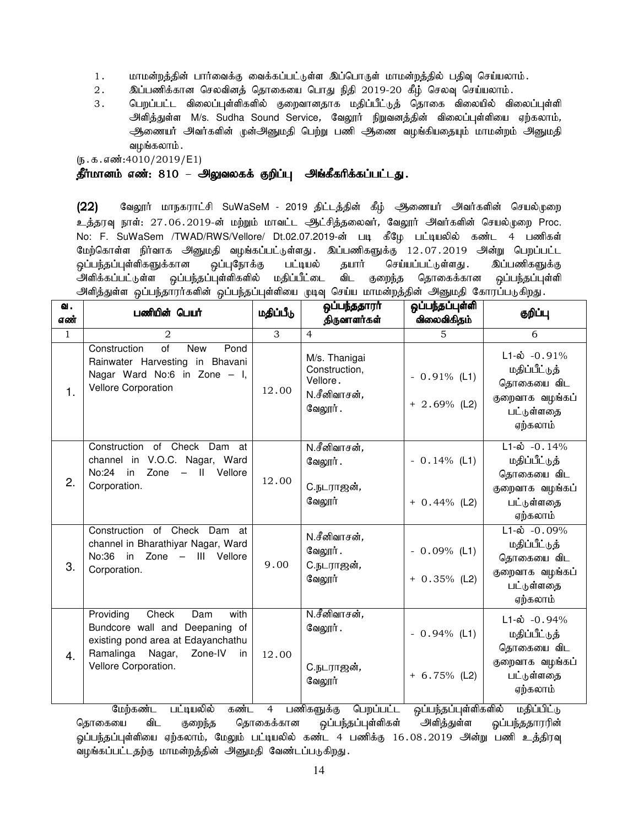- 1. khkd;wj;jpd; ghh;itf;F itf;fg;gl;Ls;s ng;bghUs; khkd;wj;jpy; gjpt[ bra;ayhk;.
- $2.$   $\qquad$  இப்பணிக்கான செலவினத் தொகையை பொது நிதி 2019-20 கீழ் செலவு செய்யலாம்.
- 3. பெறப்பட்ட விலைப்புள்ளிகளில் குறைவானதாக மதிப்பீட்டுத் தொகை விலையில் விலைப்புள்ளி அிளித்துள்ள M/s. Sudha Sound Service, வேலூர் நிறுவனத்தின் விலைப்புள்ளியை ஏற்கலாம், அணையர் அவர்களின் முன்அனுமதி பெற்று பணி ஆணை வழங்கியதையும் மாமன்றம் அனுமதி வழங்கலாம் .

 $(5.5.5.5\ldots)(5.4010/2019/E1)$ 

## தீர்மானம் எண்: 810 – அலுவலகக் குறிப்பு அங்கீகரிக்கப்பட்டது.

(22) கேலூர் மாநகராட்சி SuWaSeM - 2019 திட்டத்தின் கீழ் ஆணையர் அவர்களின் செயல்முறை உத்தரவு நாள்: 27.06.2019-ன் மற்றும் மாவட்ட ஆட்சித்தலைவர், வேலூர் அவர்களின் செயல்முறை Proc. No: F. SuWaSem /TWAD/RWS/Vellore/ Dt.02.07.2019-ன் படி கீழே பட்டியலில் கண்ட 4 பணிகள் மேற்கொள்ள நிர்வாக அனுமதி வழங்கப்பட்டுள்ளது. இப்பணிகளுக்கு 12.07.2019 அன்று பெறப்பட்ட ஒப்பந்தப்புள்ளிகளுக்கான ஒப்புநோக்கு பட்டியல் தயார் செய்யப்பட்டுள்ளது . இப்பணிகளுக்கு அளிக்கப்பட்டுள்ள ஒப்பந்தப்புள்ளிகளில் மதிப்பீட்டை விட குறைந்த தொகைக்கான ஒப்பந்தப்புள்ளி அிளித்துள்ள ஒப்பந்தாரர்களின் ஒப்பந்தப்புள்ளியை முடிவு செய்ய மாமன்றத்தின் அனுமதி கோரப்படுகிறது.

| வ.<br>எண்    | பணியின் பெயர்                                                                                                                                                             | மதிப்பீடு      | ஒப்பந்ததாரா்<br>திருவாளர்கள்                                          | ஒப்பந்தப்புள்ளி<br>விலைவிகிதம்    | குறிப்பு                                                                                                 |
|--------------|---------------------------------------------------------------------------------------------------------------------------------------------------------------------------|----------------|-----------------------------------------------------------------------|-----------------------------------|----------------------------------------------------------------------------------------------------------|
| $\mathbf{1}$ | $\mathfrak{D}_{1}^{(1)}$                                                                                                                                                  | $\overline{3}$ | $\overline{4}$                                                        | 5                                 | 6                                                                                                        |
| 1.           | $\overline{of}$<br>Construction<br><b>New</b><br>Pond<br>Rainwater Harvesting in Bhavani<br>Nagar Ward No:6 in Zone - I,<br><b>Vellore Corporation</b>                    | 12.00          | M/s. Thanigai<br>Construction,<br>Vellore.<br>N.சீனிவாசன்,<br>வேலூர். | $-0.91\%$ (L1)<br>$+ 2.69%$ (L2)  | $L1-\dot{\omega}$ -0.91%<br>மதிப்பீட்டுத்<br>தொகையை விட<br>குறைவாக வழங்கப்<br>பட்டுள்ளதை<br>ஏற்கலாம்     |
| 2.           | Construction of Check Dam at<br>channel in V.O.C. Nagar, Ward<br>Zone<br>No:24<br>Vellore<br>in<br>$\equiv$<br>$\mathbf{I}$<br>Corporation.                               | 12.00          | N.சீனிவாசன்,<br>வேலூர்.<br>C.நடராஜன்,<br>வேலூர்                       | $-0.14%$ (L1)<br>$+ 0.44\%$ (L2)  | $L1 - \dot{\omega} - 0.14\%$<br>மதிப்பீட்டுத்<br>தொகையை விட<br>குறைவாக வழங்கப்<br>பட்டுள்ளதை<br>ஏற்கலாம் |
| 3.           | Construction of Check Dam at<br>channel in Bharathiyar Nagar, Ward<br>No:36<br>in Zone - III Vellore<br>Corporation.                                                      | 9.00           | N.சீனிவாசன்,<br>வேலூர்.<br>C.நடராஜன்,<br>வேலூர்                       | $-0.09\%$ (L1)<br>$+ 0.35\%$ (L2) | $L1 - \dot{\omega} - 0.09\%$<br>மதிப்பீட்டுத்<br>தொகையை விட<br>குறைவாக வழங்கப்<br>பட்டுள்ளதை<br>ஏற்கலாம் |
| 4.           | Check<br>Providing<br>with<br>Dam<br>Bundcore wall and<br>Deepaning of<br>existing pond area at Edayanchathu<br>Ramalinga Nagar,<br>Zone-IV<br>in<br>Vellore Corporation. | 12.00          | N.சீனிவாசன் <i>,</i><br>வேலூர்.<br>C.நடராஜன்,<br>வேலூர்               | $-0.94\%$ (L1)<br>$+ 6.75\%$ (L2) | $L1-\dot{\omega}$ -0.94%<br>மதிப்பீட்டுத்<br>தொகையை விட<br>குறைவாக வழங்கப்<br>பட்டுள்ளதை<br>ஏற்கலாம்     |

மேற்கண்ட பட்டியலில் கண்ட 4 பணிகளுக்கு பெறப்பட்ட ஒப்பந்தப்புள்ளிகளில் மதிப்பிட்டு தொகையை விட குறைந்த தொகைக்கான ஒப்பந்தப்புள்ளிகள் அளித்துள்ள ஓப்பந்ததாரரின் ஓப்பந்தப்புள்ளியை ஏற்கலாம், மேலும் பட்டியலில் கண்ட 4 பணிக்கு 16.08.2019 அன்று பணி உத்திரவு வழங்கப்பட்டதற்கு மாமன்றத்தின் அனுமதி வேண்டப்படுகிறது.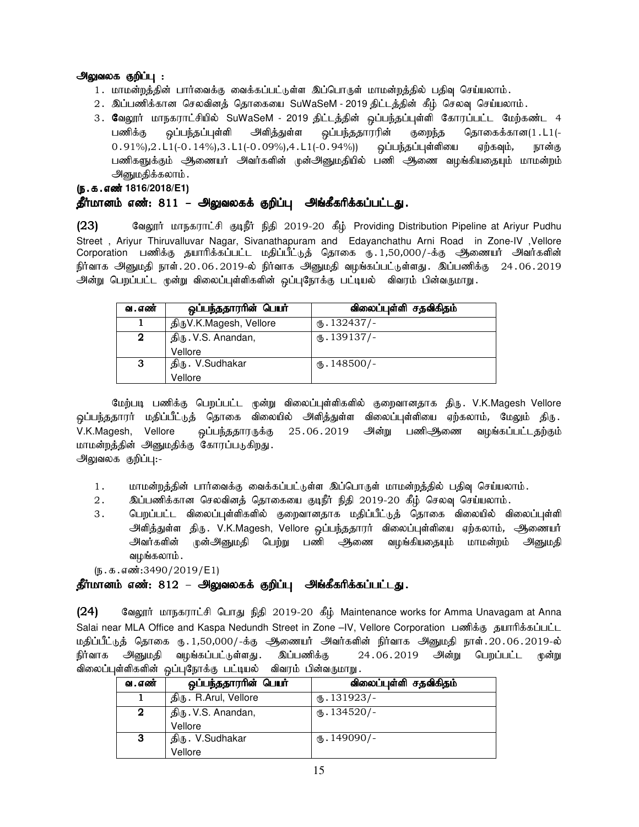# அலுவலக குறிப்பு :

- 1. மாமன்றத்தின் பார்வைக்கு வைக்கப்பட்டுள்ள இப்பொருள் மாமன்றத்தில் பதிவு செய்யலாம்.
- 2. இப்பணிக்கான செலவினத் தொகையை SuWaSeM 2019 திட்டத்தின் கீழ் செலவு செய்யலாம்.
- 3. வேலூர் மாநகராட்சியில் SuWaSeM 2019 திட்டத்தின் ஒப்பந்தப்புள்ளி கோரப்பட்ட மேற்கண்ட 4 பணிக்கு ஒப்பந்தப்புள்ளி அளித்துள்ள ஒப்பந்ததாரரின் குறைந்த தொகைக்கான(1.L1(- $0.91\%$ ), $2. L1$ (- $0.14\%$ ), $3. L1$ (- $0.09\%$ ), $4. L1$ (- $0.94\%$ )) ஒப்பந்தப்புள்ளியை ஏற்கவும், நான்கு பணிகளுக்கும் அணையர் அவர்களின் முன்அனுமதியில் பணி ஆணை வழங்கியதையும் மாமன்றம் அனுமதிக்கலாம்.

(ந.க.எண்<sup>1816/2018/E1)</sup>

# தீர்மானம் எண்: 811 – அலுவலகக் குறிப்பு அங்கீகரிக்கப்பட்டது.

 $(23)$  Baலூர் மாநகராட்சி குடிநீர் நிதி 2019-20 கீழ் Providing Distribution Pipeline at Ariyur Pudhu Street , Ariyur Thiruvalluvar Nagar, Sivanathapuram and Edayanchathu Arni Road in Zone-IV ,Vellore Corporation பணிக்கு தயாரிக்கப்பட்ட மதிப்பீட்டுத் தொகை ரு. 1,50,000/-க்கு ஆணையர் அவர்களின் .<br>நிர்வாக அனுமதி நாள்.20.06.2019-ல் நிர்வாக அனுமதி வழங்கப்பட்டுள்ளது. இப்பணிக்கு 24.06.2019 அன்று பெறப்பட்ட முன்று விலைப்புள்ளிகளின் ஒப்புநோக்கு பட்டியல் விவரம் பின்வருமாறு.

| வ . எண்                  | ஒப்பந்ததாரரின் பெயர்    | விலைப்புள்ளி சதவிகிதம் |  |
|--------------------------|-------------------------|------------------------|--|
|                          | திருV.K.Magesh, Vellore | $(B.132437)$ -         |  |
| திரு. V.S. Anandan,<br>2 |                         | $\text{I}39137/-$      |  |
|                          | Vellore                 |                        |  |
| 3                        | திரு. V.Sudhakar        | $\text{I}48500$ /-     |  |
|                          | Vellore                 |                        |  |

மேற்படி பணிக்கு பெறப்பட்ட முன்று விலைப்புள்ளிகளில் குறைவானதாக திரு. V.K.Magesh Vellore <u>ஒ</u>ப்பந்ததாரர் மதிப்பீட்டுத் தொகை விலையில் அளித்துள்ள விலைப்புள்ளியை ஏற்கலாம், மேலும் திரு V.K.Magesh, Vellore ஒப்பந்ததாரருக்கு 25.06.2019 அன்று பணிஆ்ணை வழங்கப்பட்டதற்கும் மாமன்றத்தின் அனுமதிக்கு கோரப்படுகிறது.

அலுவலக குறிப்பு:-

- 1. khr மன்றத்தின் பார்வைக்கு வைக்கப்பட்டுள்ள இப்பொருள் மாமன்றத்தில் பதிவு செய்யலாம்.
- 2. இப்பணிக்கான செலவினத் தொகையை குடிநீர் நிதி 2019-20 கீழ் செலவு செய்யலாம்.
- 3 . பெறப்பட்ட விலைப்புள்ளிகளில் குறைவானதாக மதிப்பீட்டுத் தொகை விலையில் விலைப்புள்ளி அளித்துள்ள திரு. V.K.Magesh, Vellore ஒப்பந்ததாரர் விலைப்புள்ளியை ஏற்கலாம், ஆணையர் அவர்களின் முன்அனுமதி பெற்று பணி ஆணை வழங்கியதையும் மாமன்றம் அனுமதி வழங்கலாம் .

 $(\mathbf{b}.\mathbf{t}.\mathbf{d}.\mathbf{d}\mathbf{c}\mathbf{w}\mathbf{d}:\mathbf{3490}/2019/\mathsf{E1})$ 

# தீர்மானம் எண்: 812 – அலுவலகக் குறிப்பு அங்கீகரிக்கப்பட்டது.

(24) Bазодит илгуварт СА Сынду நிதி 2019-20 கீழ் Maintenance works for Amma Unavagam at Anna Salai near MLA Office and Kaspa Nedundh Street in Zone –IV, Vellore Corporation பணிக்கு கயாரிக்கப்பட்ட மதிப்பீட்டுத் தொகை ரு. 1,50,000/-க்கு ஆணையர் அவர்களின் நிர்வாக அனுமதி நாள். 20.06.2019-ல் நிர்வாக அனுமதி வழங்கப்பட்டுள்ளது. இப்பணிக்கு 24.06.2019 அன்று பெறப்பட்ட முன்று விலைப்புள்ளிகளின் ஒப்புநோக்கு பட்டியல் விவரம் பின்வருமாறு.

| வ . எண் | ஒப்பந்ததாரரின் பெயர்  | விலைப்புள்ளி சதவிகிதம்   |
|---------|-----------------------|--------------------------|
|         | திரு. R.Arul, Vellore | $\omega$ . 131923/-      |
| 2       | திரு . V.S. Anandan,  | $(D.134520)$ -           |
|         | Vellore               |                          |
| 3       | திரு. V.Sudhakar      | $\circledast$ . 149090/- |
|         | Vellore               |                          |